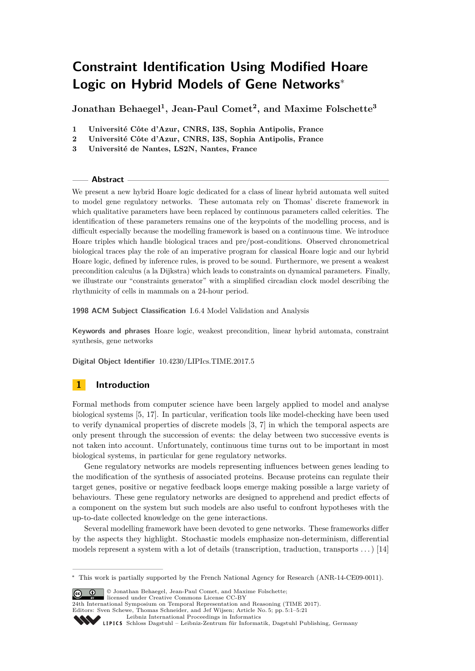# **Constraint Identification Using Modified Hoare Logic on Hybrid Models of Gene Networks**<sup>∗</sup>

**Jonathan Behaegel<sup>1</sup> , Jean-Paul Comet<sup>2</sup> , and Maxime Folschette<sup>3</sup>**

- **1 Université Côte d'Azur, CNRS, I3S, Sophia Antipolis, France**
- **2 Université Côte d'Azur, CNRS, I3S, Sophia Antipolis, France**
- **3 Université de Nantes, LS2N, Nantes, France**

#### **Abstract**

We present a new hybrid Hoare logic dedicated for a class of linear hybrid automata well suited to model gene regulatory networks. These automata rely on Thomas' discrete framework in which qualitative parameters have been replaced by continuous parameters called celerities. The identification of these parameters remains one of the keypoints of the modelling process, and is difficult especially because the modelling framework is based on a continuous time. We introduce Hoare triples which handle biological traces and pre/post-conditions. Observed chronometrical biological traces play the role of an imperative program for classical Hoare logic and our hybrid Hoare logic, defined by inference rules, is proved to be sound. Furthermore, we present a weakest precondition calculus (a la Dijkstra) which leads to constraints on dynamical parameters. Finally, we illustrate our "constraints generator" with a simplified circadian clock model describing the rhythmicity of cells in mammals on a 24-hour period.

**1998 ACM Subject Classification** I.6.4 Model Validation and Analysis

**Keywords and phrases** Hoare logic, weakest precondition, linear hybrid automata, constraint synthesis, gene networks

**Digital Object Identifier** [10.4230/LIPIcs.TIME.2017.5](http://dx.doi.org/10.4230/LIPIcs.TIME.2017.5)

# **1 Introduction**

Formal methods from computer science have been largely applied to model and analyse biological systems [\[5,](#page-14-0) [17\]](#page-14-1). In particular, verification tools like model-checking have been used to verify dynamical properties of discrete models [\[3,](#page-14-2) [7\]](#page-14-3) in which the temporal aspects are only present through the succession of events: the delay between two successive events is not taken into account. Unfortunately, continuous time turns out to be important in most biological systems, in particular for gene regulatory networks.

Gene regulatory networks are models representing influences between genes leading to the modification of the synthesis of associated proteins. Because proteins can regulate their target genes, positive or negative feedback loops emerge making possible a large variety of behaviours. These gene regulatory networks are designed to apprehend and predict effects of a component on the system but such models are also useful to confront hypotheses with the up-to-date collected knowledge on the gene interactions.

Several modelling framework have been devoted to gene networks. These frameworks differ by the aspects they highlight. Stochastic models emphasize non-determinism, differential models represent a system with a lot of details (transcription, traduction, transports  $\dots$ ) [\[14\]](#page-14-4)

© Jonathan Behaegel, Jean-Paul Comet, and Maxime Folschette;

licensed under Creative Commons License CC-BY



[Leibniz International Proceedings in Informatics](http://www.dagstuhl.de/lipics/)

<sup>∗</sup> This work is partially supported by the French National Agency for Research (ANR-14-CE09-0011).

Leibniz international Floretungs in missimosische Publishing, Germany<br>LIPICS [Schloss Dagstuhl – Leibniz-Zentrum für Informatik, Dagstuhl Publishing, Germany](http://www.dagstuhl.de)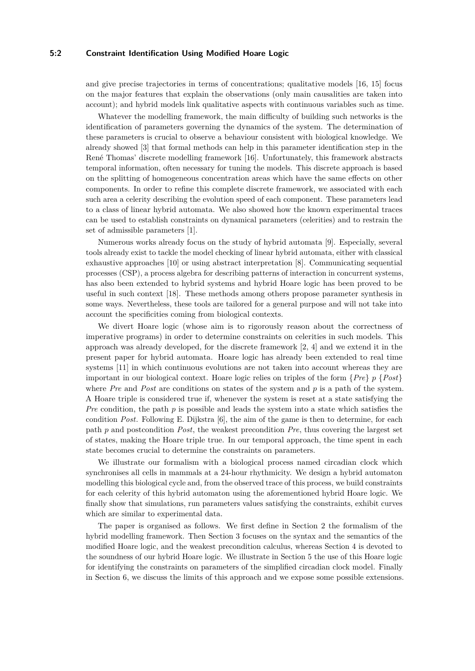#### **5:2 Constraint Identification Using Modified Hoare Logic**

and give precise trajectories in terms of concentrations; qualitative models [\[16,](#page-14-5) [15\]](#page-14-6) focus on the major features that explain the observations (only main causalities are taken into account); and hybrid models link qualitative aspects with continuous variables such as time.

Whatever the modelling framework, the main difficulty of building such networks is the identification of parameters governing the dynamics of the system. The determination of these parameters is crucial to observe a behaviour consistent with biological knowledge. We already showed [\[3\]](#page-14-2) that formal methods can help in this parameter identification step in the René Thomas' discrete modelling framework [\[16\]](#page-14-5). Unfortunately, this framework abstracts temporal information, often necessary for tuning the models. This discrete approach is based on the splitting of homogeneous concentration areas which have the same effects on other components. In order to refine this complete discrete framework, we associated with each such area a celerity describing the evolution speed of each component. These parameters lead to a class of linear hybrid automata. We also showed how the known experimental traces can be used to establish constraints on dynamical parameters (celerities) and to restrain the set of admissible parameters [\[1\]](#page-14-7).

Numerous works already focus on the study of hybrid automata [\[9\]](#page-14-8). Especially, several tools already exist to tackle the model checking of linear hybrid automata, either with classical exhaustive approaches [\[10\]](#page-14-9) or using abstract interpretation [\[8\]](#page-14-10). Communicating sequential processes (CSP), a process algebra for describing patterns of interaction in concurrent systems, has also been extended to hybrid systems and hybrid Hoare logic has been proved to be useful in such context [\[18\]](#page-14-11). These methods among others propose parameter synthesis in some ways. Nevertheless, these tools are tailored for a general purpose and will not take into account the specificities coming from biological contexts.

We divert Hoare logic (whose aim is to rigorously reason about the correctness of imperative programs) in order to determine constraints on celerities in such models. This approach was already developed, for the discrete framework [\[2,](#page-14-12) [4\]](#page-14-13) and we extend it in the present paper for hybrid automata. Hoare logic has already been extended to real time systems [\[11\]](#page-14-14) in which continuous evolutions are not taken into account whereas they are important in our biological context. Hoare logic relies on triples of the form {*Pre*} *p* {*Post*} where *Pre* and *Post* are conditions on states of the system and *p* is a path of the system. A Hoare triple is considered true if, whenever the system is reset at a state satisfying the *Pre* condition, the path *p* is possible and leads the system into a state which satisfies the condition *Post*. Following E. Dijkstra [\[6\]](#page-14-15), the aim of the game is then to determine, for each path *p* and postcondition *Post*, the weakest precondition *Pre*, thus covering the largest set of states, making the Hoare triple true. In our temporal approach, the time spent in each state becomes crucial to determine the constraints on parameters.

We illustrate our formalism with a biological process named circadian clock which synchronises all cells in mammals at a 24-hour rhythmicity. We design a hybrid automaton modelling this biological cycle and, from the observed trace of this process, we build constraints for each celerity of this hybrid automaton using the aforementioned hybrid Hoare logic. We finally show that simulations, run parameters values satisfying the constraints, exhibit curves which are similar to experimental data.

The paper is organised as follows. We first define in Section [2](#page-2-0) the formalism of the hybrid modelling framework. Then Section [3](#page-5-0) focuses on the syntax and the semantics of the modified Hoare logic, and the weakest precondition calculus, whereas Section [4](#page-9-0) is devoted to the soundness of our hybrid Hoare logic. We illustrate in Section [5](#page-11-0) the use of this Hoare logic for identifying the constraints on parameters of the simplified circadian clock model. Finally in Section [6,](#page-13-0) we discuss the limits of this approach and we expose some possible extensions.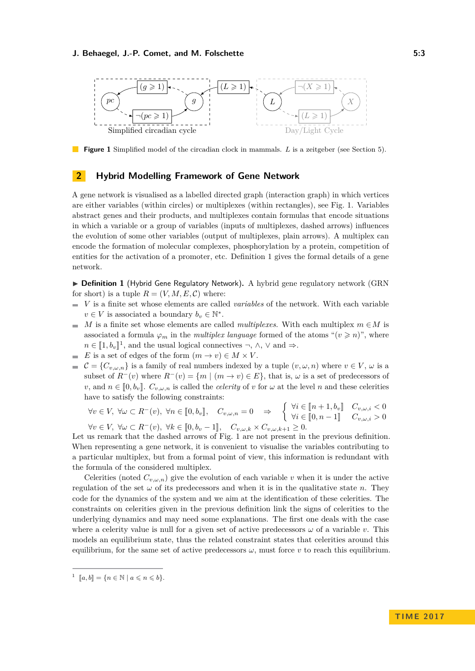<span id="page-2-1"></span>

**Figure 1** Simplified model of the circadian clock in mammals. *L* is a zeitgeber (see Section [5\)](#page-11-0).

# <span id="page-2-0"></span>**2 Hybrid Modelling Framework of Gene Network**

A gene network is visualised as a labelled directed graph (interaction graph) in which vertices are either variables (within circles) or multiplexes (within rectangles), see Fig. [1.](#page-2-1) Variables abstract genes and their products, and multiplexes contain formulas that encode situations in which a variable or a group of variables (inputs of multiplexes, dashed arrows) influences the evolution of some other variables (output of multiplexes, plain arrows). A multiplex can encode the formation of molecular complexes, phosphorylation by a protein, competition of entities for the activation of a promoter, etc. Definition [1](#page-2-2) gives the formal details of a gene network.

<span id="page-2-2"></span>▶ **Definition 1** (Hybrid Gene Regulatory Network). A hybrid gene regulatory network (GRN for short) is a tuple  $R = (V, M, E, C)$  where:

- $\bar{a}$ *V* is a finite set whose elements are called *variables* of the network. With each variable  $v \in V$  is associated a boundary  $b_v \in \mathbb{N}^*$ .
- *M* is a finite set whose elements are called *multiplexes*. With each multiplex  $m \in M$  is  $\sim$ associated a formula  $\varphi_m$  in the *multiplex language* formed of the atoms " $(v \geq n)$ ", where  $n \in [\![1, b_v]\!]^1$  $n \in [\![1, b_v]\!]^1$  $n \in [\![1, b_v]\!]^1$ , and the usual logical connectives ¬,  $\wedge$ ,  $\vee$  and  $\Rightarrow$ .<br>*F* is a set of edges of the form  $(m_v) \cup \subseteq M \vee V$ .
- $E$  is a set of edges of the form  $(m \to v) \in M \times V$ .
- $\mathcal{C} = \{C_{v,\omega,n}\}\$ is a family of real numbers indexed by a tuple  $(v,\omega,n)$  where  $v \in V, \omega$  is a  $\sim$ subset of  $R^{-}(v)$  where  $R^{-}(v) = \{m \mid (m \to v) \in E\}$ , that is,  $\omega$  is a set of predecessors of *v*, and  $n \in [0, b_v]$ .  $C_{v,\omega,n}$  is called the *celerity* of *v* for  $\omega$  at the level *n* and these celerities have to satisfy the following constraints:

 $\forall v \in V, \ \forall \omega \subset R^-(v), \ \forall n \in [\![0, b_v]\!], \quad C_{v, \omega, n} = 0 \Rightarrow \left\{ \begin{array}{l} \forall i \in [\![n+1, b_v]\!] & C_{v, \omega, i} < 0 \\ \forall i \in [\![0, n-1]\!] & C_{v, \omega, i} > 0 \end{array} \right\}$  $\forall i \in [0, n-1] \quad C_{v,\omega,i} > 0$ <br>> 0  $\forall v \in V, \ \forall \omega \subset R^-(v), \ \forall k \in [0, b_v - 1], \quad C_{v, \omega, k} \times C_{v, \omega, k+1} \geq 0.$ <br>We remark that the dechod expanse of Fig. 1 are not propert in

Let us remark that the dashed arrows of Fig. [1](#page-2-1) are not present in the previous definition. When representing a gene network, it is convenient to visualise the variables contributing to a particular multiplex, but from a formal point of view, this information is redundant with the formula of the considered multiplex.

Celerities (noted  $C_{v,\omega,n}$ ) give the evolution of each variable *v* when it is under the active regulation of the set  $\omega$  of its predecessors and when it is in the qualitative state *n*. They code for the dynamics of the system and we aim at the identification of these celerities. The constraints on celerities given in the previous definition link the signs of celerities to the underlying dynamics and may need some explanations. The first one deals with the case where a celerity value is null for a given set of active predecessors *ω* of a variable *v*. This models an equilibrium state, thus the related constraint states that celerities around this equilibrium, for the same set of active predecessors  $\omega$ , must force  $v$  to reach this equilibrium.

<span id="page-2-3"></span><sup>1</sup>  $[a, b] = \{n \in \mathbb{N} \mid a \leqslant n \leqslant b\}.$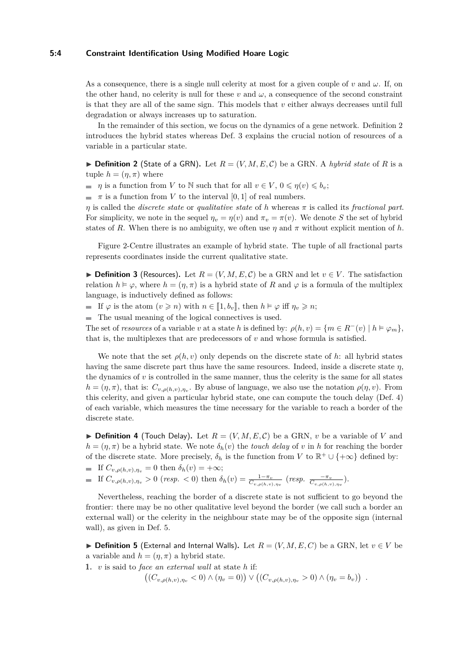#### **5:4 Constraint Identification Using Modified Hoare Logic**

As a consequence, there is a single null celerity at most for a given couple of *v* and  $\omega$ . If, on the other hand, no celerity is null for these  $v$  and  $\omega$ , a consequence of the second constraint is that they are all of the same sign. This models that *v* either always decreases until full degradation or always increases up to saturation.

In the remainder of this section, we focus on the dynamics of a gene network. Definition [2](#page-3-0) introduces the hybrid states whereas Def. [3](#page-3-1) explains the crucial notion of resources of a variable in a particular state.

<span id="page-3-0"></span> $\triangleright$  **Definition 2** (State of a GRN). Let  $R = (V, M, E, C)$  be a GRN. A *hybrid state* of R is a tuple  $h = (\eta, \pi)$  where

- *n* is a function from *V* to N such that for all  $v \in V$ ,  $0 \leq \eta(v) \leq b_v$ ;
- $\blacksquare$  *π* is a function from *V* to the interval [0, 1] of real numbers.

*η* is called the *discrete state* or *qualitative state* of *h* whereas *π* is called its *fractional part*. For simplicity, we note in the sequel  $\eta_v = \eta(v)$  and  $\pi_v = \pi(v)$ . We denote *S* the set of hybrid states of *R*. When there is no ambiguity, we often use  $\eta$  and  $\pi$  without explicit mention of *h*.

Figure [2-](#page-4-0)Centre illustrates an example of hybrid state. The tuple of all fractional parts represents coordinates inside the current qualitative state.

<span id="page-3-1"></span>▶ **Definition 3** (Resources). Let  $R = (V, M, E, C)$  be a GRN and let  $v \in V$ . The satisfaction relation  $h \models \varphi$ , where  $h = (\eta, \pi)$  is a hybrid state of R and  $\varphi$  is a formula of the multiplex language, is inductively defined as follows:

■ If *ϕ* is the atom  $(v \ge n)$  with  $n \in [1, b_v]$ , then  $h \models φ$  iff  $η_v \ge n$ ;

The usual meaning of the logical connectives is used.

The set of *resources* of a variable *v* at a state *h* is defined by:  $\rho(h, v) = \{m \in R^-(v) \mid h \models \varphi_m\},\$ that is, the multiplexes that are predecessors of  $v$  and whose formula is satisfied.

We note that the set  $\rho(h, v)$  only depends on the discrete state of *h*: all hybrid states having the same discrete part thus have the same resources. Indeed, inside a discrete state *η*, the dynamics of  $v$  is controlled in the same manner, thus the celerity is the same for all states  $h = (\eta, \pi)$ , that is:  $C_{v,\rho(h,v),\eta_v}$ . By abuse of language, we also use the notation  $\rho(\eta, v)$ . From this celerity, and given a particular hybrid state, one can compute the touch delay (Def. [4\)](#page-3-2) of each variable, which measures the time necessary for the variable to reach a border of the discrete state.

<span id="page-3-2"></span> $\triangleright$  **Definition 4** (Touch Delay). Let  $R = (V, M, E, C)$  be a GRN, *v* be a variable of *V* and  $h = (\eta, \pi)$  be a hybrid state. We note  $\delta_h(v)$  the *touch delay* of *v* in *h* for reaching the border of the discrete state. More precisely,  $\delta_h$  is the function from *V* to  $\mathbb{R}^+ \cup \{+\infty\}$  defined by:

- If  $C_{v,\rho(h,v),\eta_v} = 0$  then  $\delta_h(v) = +\infty;$
- If  $C_{v,\rho(h,v),\eta_v} > 0$  (resp.  $< 0$ ) then  $\delta_h(v) = \frac{1-\pi_v}{C_{v,\rho(h,v),\eta_v}}$  (resp.  $\frac{-\pi_v}{C_{v,\rho(h,v),\eta_v}}$ ).

Nevertheless, reaching the border of a discrete state is not sufficient to go beyond the frontier: there may be no other qualitative level beyond the border (we call such a border an external wall) or the celerity in the neighbour state may be of the opposite sign (internal wall), as given in Def. [5.](#page-3-3)

<span id="page-3-3"></span>**► Definition 5** (External and Internal Walls). Let  $R = (V, M, E, C)$  be a GRN, let  $v \in V$  be a variable and  $h = (\eta, \pi)$  a hybrid state.

**1.** *v* is said to *face an external wall* at state *h* if:

 $((C_{v,\rho(h,v),\eta_v} < 0) \wedge (\eta_v = 0)) \vee ((C_{v,\rho(h,v),\eta_v} > 0) \wedge (\eta_v = b_v))$ .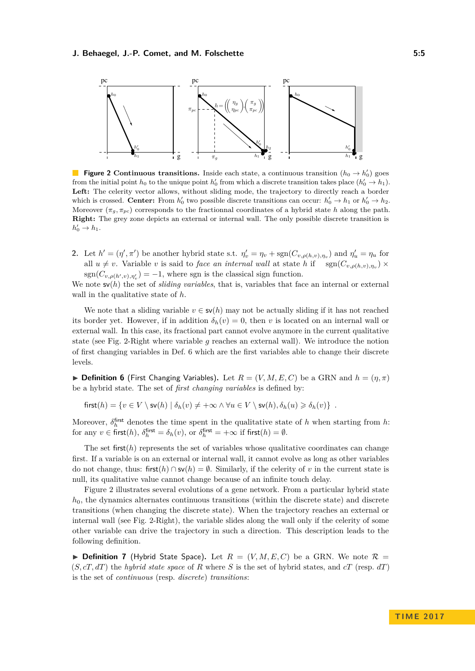<span id="page-4-0"></span>

**Figure 2 Continuous transitions.** Inside each state, a continuous transition  $(h_0 \rightarrow h'_0)$  goes from the initial point  $h_0$  to the unique point  $h'_0$  from which a discrete transition takes place  $(h'_0 \to h_1)$ . Left: The celerity vector allows, without sliding mode, the trajectory to directly reach a border which is crossed. **Center:** From  $h'_0$  two possible discrete transitions can occur:  $h'_0 \to h_1$  or  $h'_0 \to h_2$ . Moreover  $(\pi_q, \pi_{pc})$  corresponds to the fractionnal coordinates of a hybrid state *h* along the path. **Right:** The grey zone depicts an external or internal wall. The only possible discrete transition is  $h'_0 \to h_1$ .

**2.** Let  $h' = (\eta', \pi')$  be another hybrid state s.t.  $\eta'_v = \eta_v + \text{sgn}(C_{v,\rho(h,v),\eta_v})$  and  $\eta'_u = \eta_u$  for all  $u \neq v$ . Variable *v* is said to *face an internal wall* at state *h* if  $\text{sgn}(C_{v,\rho(h,v),\eta_v}) \times$  $sgn(C_{v,\rho(h',v),\eta'_{v}}) = -1$ , where sgn is the classical sign function.

We note  $\mathbf{s}v(h)$  the set of *sliding variables*, that is, variables that face an internal or external wall in the qualitative state of *h*.

We note that a sliding variable  $v \in s\mathsf{v}(h)$  may not be actually sliding if it has not reached its border yet. However, if in addition  $\delta_h(v) = 0$ , then *v* is located on an internal wall or external wall. In this case, its fractional part cannot evolve anymore in the current qualitative state (see Fig. [2-](#page-4-0)Right where variable *g* reaches an external wall). We introduce the notion of first changing variables in Def. [6](#page-4-1) which are the first variables able to change their discrete levels.

<span id="page-4-1"></span>**Definition 6** (First Changing Variables). Let  $R = (V, M, E, C)$  be a GRN and  $h = (\eta, \pi)$ be a hybrid state. The set of *first changing variables* is defined by:

$$
first(h) = \{v \in V \setminus sv(h) \mid \delta_h(v) \neq +\infty \land \forall u \in V \setminus sv(h), \delta_h(u) \geq \delta_h(v)\} .
$$

Moreover,  $\delta_h^{\text{first}}$  denotes the time spent in the qualitative state of *h* when starting from *h*: for any  $v \in \text{first}(h)$ ,  $\delta_h^{\text{first}} = \delta_h(v)$ , or  $\delta_h^{\text{first}} = +\infty$  if first $(h) = \emptyset$ .

The set first $(h)$  represents the set of variables whose qualitative coordinates can change first. If a variable is on an external or internal wall, it cannot evolve as long as other variables do not change, thus: first $(h) \cap s\mathsf{v}(h) = \emptyset$ . Similarly, if the celerity of *v* in the current state is null, its qualitative value cannot change because of an infinite touch delay.

Figure [2](#page-4-0) illustrates several evolutions of a gene network. From a particular hybrid state *h*0, the dynamics alternates continuous transitions (within the discrete state) and discrete transitions (when changing the discrete state). When the trajectory reaches an external or internal wall (see Fig. [2-](#page-4-0)Right), the variable slides along the wall only if the celerity of some other variable can drive the trajectory in such a direction. This description leads to the following definition.

**Definition 7** (Hybrid State Space). Let  $R = (V, M, E, C)$  be a GRN. We note  $\mathcal{R} =$ (*S, cT, dT*) the *hybrid state space* of *R* where *S* is the set of hybrid states, and *cT* (resp. *dT*) is the set of *continuous* (resp. *discrete*) *transitions*: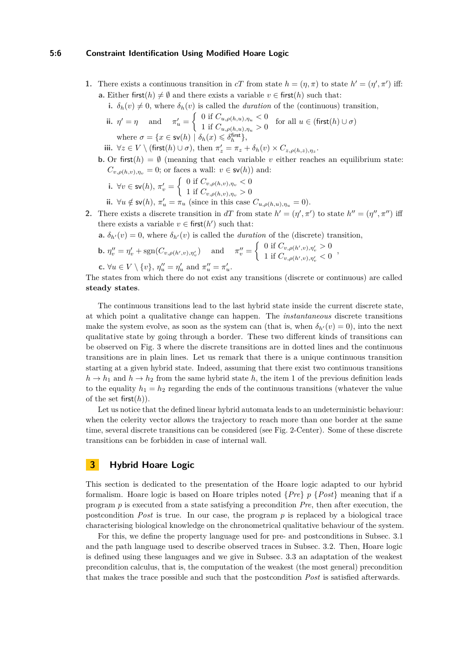#### **5:6 Constraint Identification Using Modified Hoare Logic**

<span id="page-5-1"></span>**1.** There exists a continuous transition in *cT* from state  $h = (\eta, \pi)$  to state  $h' = (\eta', \pi')$  iff: **a.** Either first( $h$ )  $\neq \emptyset$  and there exists a variable  $v \in$  first( $h$ ) such that:

**i.**  $\delta_h(v) \neq 0$ , where  $\delta_h(v)$  is called the *duration* of the (continuous) transition,

$$
\begin{aligned}\n\text{ii. } \ \eta' &= \eta \quad \text{and} \quad \pi'_u = \left\{ \begin{array}{l} 0 \text{ if } C_{u,\rho(h,u),\eta_u} < 0 \\
1 \text{ if } C_{u,\rho(h,u),\eta_u} > 0 \end{array} \right. \\
\text{for all } u \in (\text{first}(h) \cup \sigma) \\
\text{where } \sigma &= \{x \in \text{sv}(h) \mid \delta_h(x) \leqslant \delta_h^{\text{first}}\},\n\end{aligned}
$$

**iii.**  $\forall z \in V \setminus (\text{first}(h) \cup \sigma)$ , then  $\pi'_z = \pi_z + \delta_h(v) \times C_{z, \rho(h, z), \eta_z}$ .

- **b.** Or first( $h$ ) =  $\emptyset$  (meaning that each variable *v* either reaches an equilibrium state:  $C_{v,\rho(h,v),\eta_v} = 0$ ; or faces a wall:  $v \in \mathsf{sv}(h)$  and:
	- **i.**  $\forall v \in \text{sv}(h), \pi_v' = \begin{cases} 0 & \text{if } C_{v,\rho(h,v),\eta_v} < 0 \\ 1 & \text{if } C_{v,\rho(h,v),\eta_v} > 0 \end{cases}$ 1 if  $C_{v,\rho(h,v),\eta_v} > 0$
	- **ii.**  $\forall u \notin \mathsf{sv}(h), \pi'_u = \pi_u \text{ (since in this case } C_{u,\rho(h,u),\eta_u} = 0).$
- **2.** There exists a discrete transition in *dT* from state  $h' = (\eta', \pi')$  to state  $h'' = (\eta'', \pi'')$  iff there exists a variable  $v \in \text{first}(h')$  such that:

**a.**  $\delta_{h'}(v) = 0$ , where  $\delta_{h'}(v)$  is called the *duration* of the (discrete) transition,

**b.** 
$$
\eta''_v = \eta'_v + \text{sgn}(C_{v,\rho(h',v),\eta'_v})
$$
 and  $\pi''_v = \begin{cases} 0 \text{ if } C_{v,\rho(h',v),\eta'_v} > 0 \\ 1 \text{ if } C_{v,\rho(h',v),\eta'_v} < 0 \end{cases}$ 

**c.**  $\forall u \in V \setminus \{v\}, \eta''_u = \eta'_u \text{ and } \pi''_u = \pi'_u.$ 

The states from which there do not exist any transitions (discrete or continuous) are called **steady states**.

The continuous transitions lead to the last hybrid state inside the current discrete state, at which point a qualitative change can happen. The *instantaneous* discrete transitions make the system evolve, as soon as the system can (that is, when  $\delta_{h'}(v) = 0$ ), into the next qualitative state by going through a border. These two different kinds of transitions can be observed on Fig. [3](#page-8-0) where the discrete transitions are in dotted lines and the continuous transitions are in plain lines. Let us remark that there is a unique continuous transition starting at a given hybrid state. Indeed, assuming that there exist two continuous transitions  $h \to h_1$  and  $h \to h_2$  from the same hybrid state h, the item [1](#page-5-1) of the previous definition leads to the equality  $h_1 = h_2$  regarding the ends of the continuous transitions (whatever the value of the set first(*h*)).

Let us notice that the defined linear hybrid automata leads to an undeterministic behaviour: when the celerity vector allows the trajectory to reach more than one border at the same time, several discrete transitions can be considered (see Fig. [2-](#page-4-0)Center). Some of these discrete transitions can be forbidden in case of internal wall.

# <span id="page-5-0"></span>**3 Hybrid Hoare Logic**

This section is dedicated to the presentation of the Hoare logic adapted to our hybrid formalism. Hoare logic is based on Hoare triples noted {*Pre*} *p* {*Post*} meaning that if a program *p* is executed from a state satisfying a precondition *Pre*, then after execution, the postcondition *Post* is true. In our case, the program *p* is replaced by a biological trace characterising biological knowledge on the chronometrical qualitative behaviour of the system.

For this, we define the property language used for pre- and postconditions in Subsec. [3.1](#page-6-0) and the path language used to describe observed traces in Subsec. [3.2.](#page-6-1) Then, Hoare logic is defined using these languages and we give in Subsec. [3.3](#page-7-0) an adaptation of the weakest precondition calculus, that is, the computation of the weakest (the most general) precondition that makes the trace possible and such that the postcondition *Post* is satisfied afterwards.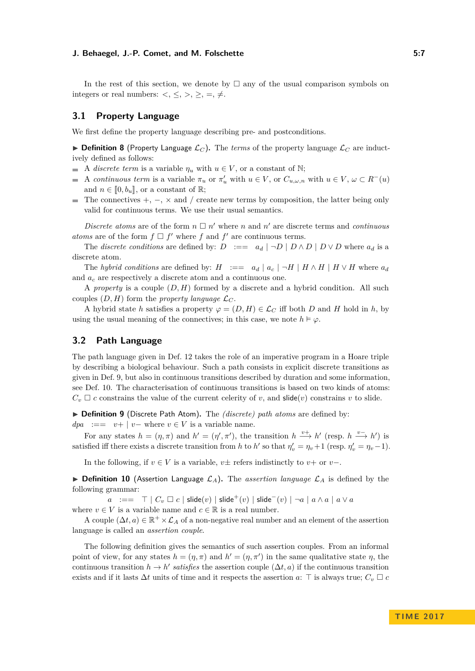In the rest of this section, we denote by  $\Box$  any of the usual comparison symbols on integers or real numbers:  $\langle , \leq, \rangle, \geq, =, \neq$ .

### <span id="page-6-0"></span>**3.1 Property Language**

We first define the property language describing pre- and postconditions.

**IDEFINITION 8** (Property Language  $\mathcal{L}_C$ ). The *terms* of the property language  $\mathcal{L}_C$  are inductively defined as follows:

- A *discrete term* is a variable  $\eta_u$  with  $u \in V$ , or a constant of N;
- A *continuous term* is a variable  $\pi_u$  or  $\pi'_u$  with  $u \in V$ , or  $C_{u,\omega,n}$  with  $u \in V$ ,  $\omega \subset R^-(u)$  $\overline{\phantom{a}}$ and  $n \in [0, b_u]$ , or a constant of R;
- The connectives +, −, × and */* create new terms by composition, the latter being only valid for continuous terms. We use their usual semantics.

*Discrete atoms* are of the form  $n \square n'$  where *n* and *n'* are discrete terms and *continuous atoms* are of the form  $f \square f'$  where  $f$  and  $f'$  are continuous terms.

The *discrete conditions* are defined by:  $D := a_d | \neg D | D \wedge D | D \vee D$  where  $a_d$  is a discrete atom.

The *hybrid conditions* are defined by:  $H := a_d | a_c | \neg H | H \wedge H | H \vee H$  where  $a_d$ and *a<sup>c</sup>* are respectively a discrete atom and a continuous one.

A *property* is a couple (*D, H*) formed by a discrete and a hybrid condition. All such couples  $(D, H)$  form the *property language*  $\mathcal{L}_C$ .

A hybrid state *h* satisfies a property  $\varphi = (D, H) \in \mathcal{L}_C$  iff both *D* and *H* hold in *h*, by using the usual meaning of the connectives; in this case, we note  $h \models \varphi$ .

### <span id="page-6-1"></span>**3.2 Path Language**

The path language given in Def. [12](#page-7-1) takes the role of an imperative program in a Hoare triple by describing a biological behaviour. Such a path consists in explicit discrete transitions as given in Def. [9,](#page-6-2) but also in continuous transitions described by duration and some information, see Def. [10.](#page-6-3) The characterisation of continuous transitions is based on two kinds of atoms:  $C_v \square c$  constrains the value of the current celerity of *v*, and slide(*v*) constrains *v* to slide.

<span id="page-6-2"></span>▶ **Definition 9** (Discrete Path Atom). The *(discrete) path atoms* are defined by: *dpa* :==  $v+ | v-$  where  $v \in V$  is a variable name.

For any states  $h = (\eta, \pi)$  and  $h' = (\eta', \pi')$ , the transition  $h \stackrel{v+}{\longrightarrow} h'$  (resp.  $h \stackrel{v-}{\longrightarrow} h'$ ) is satisfied iff there exists a discrete transition from *h* to *h'* so that  $\eta'_v = \eta_v + 1$  (resp.  $\eta'_v = \eta_v - 1$ ).

In the following, if  $v \in V$  is a variable,  $v \pm$  refers indistinctly to  $v +$  or  $v -$ .

<span id="page-6-3"></span> $\triangleright$  **Definition 10** (Assertion Language  $\mathcal{L}_A$ ). The *assertion language*  $\mathcal{L}_A$  is defined by the following grammar:

*a* :==  $\top$  |  $C_v$   $\Box$  *c* | slide(*v*) | slide<sup>+</sup>(*v*) | slide<sup>−</sup>(*v*) | ¬*a* | *a* ∧ *a* | *a* ∨ *a* where  $v \in V$  is a variable name and  $c \in \mathbb{R}$  is a real number.

A couple  $(\Delta t, a) \in \mathbb{R}^+ \times \mathcal{L}_A$  of a non-negative real number and an element of the assertion language is called an *assertion couple*.

The following definition gives the semantics of such assertion couples. From an informal point of view, for any states  $h = (\eta, \pi)$  and  $h' = (\eta, \pi')$  in the same qualitative state  $\eta$ , the continuous transition  $h \to h'$  satisfies the assertion couple  $(\Delta t, a)$  if the continuous transition exists and if it lasts  $\Delta t$  units of time and it respects the assertion *a*:  $\top$  is always true;  $C_v \square c$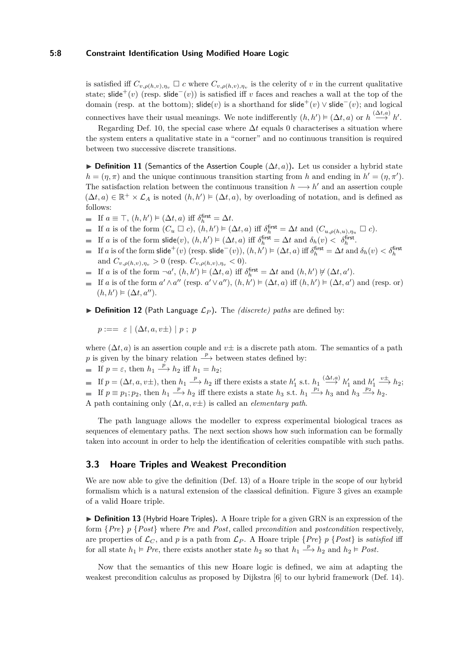#### **5:8 Constraint Identification Using Modified Hoare Logic**

is satisfied iff  $C_{v,\rho(h,v),\eta_v} \square c$  where  $C_{v,\rho(h,v),\eta_v}$  is the celerity of *v* in the current qualitative state; slide<sup>+</sup>(*v*) (resp. slide<sup>-</sup>(*v*)) is satisfied iff *v* faces and reaches a wall at the top of the domain (resp. at the bottom); slide(*v*) is a shorthand for slide<sup>+</sup>(*v*)  $\vee$  slide<sup>-</sup>(*v*); and logical connectives have their usual meanings. We note indifferently  $(h, h') \models (\Delta t, a)$  or  $h \stackrel{(\Delta t, a)}{\longrightarrow} h'$ .

Regarding Def. [10,](#page-6-3) the special case where  $\Delta t$  equals 0 characterises a situation where the system enters a qualitative state in a "corner" and no continuous transition is required between two successive discrete transitions.

<span id="page-7-3"></span>**► Definition 11** (Semantics of the Assertion Couple  $(\Delta t, a)$ ). Let us consider a hybrid state  $h = (\eta, \pi)$  and the unique continuous transition starting from *h* and ending in  $h' = (\eta, \pi')$ . The satisfaction relation between the continuous transition  $h \longrightarrow h'$  and an assertion couple  $(\Delta t, a) \in \mathbb{R}^+ \times \mathcal{L}_A$  is noted  $(h, h') \models (\Delta t, a)$ , by overloading of notation, and is defined as follows:

- If  $a \equiv \top$ ,  $(h, h') \models (\Delta t, a)$  iff  $\delta_h^{\text{first}} = \Delta t$ .
- If *a* is of the form  $(C_u \square c)$ ,  $(h, h') \models (\Delta t, a)$  iff  $\delta_h^{\text{first}} = \Delta t$  and  $(C_{u, \rho(h, u), \eta_u} \square c)$ .
- If *a* is of the form  $\text{slide}(v)$ ,  $(h, h') \models (\Delta t, a)$  iff  $\delta_h^{\text{first}} = \Delta t$  and  $\delta_h(v) < \delta_h^{\text{first}}$ .
- If *a* is of the form slide<sup>+</sup>(*v*) (resp. slide<sup>-</sup>(*v*)), (*h*, *h'*)  $\models$  ( $\Delta t$ , *a*) iff  $\delta^{\text{first}}_h = \Delta t$  and  $\delta_h(v) < \delta^{\text{first}}_h$  $\blacksquare$ and  $C_{v,\rho(h,v),\eta_v} > 0$  (resp.  $C_{v,\rho(h,v),\eta_v} < 0$ ).
- If *a* is of the form  $\neg a'$ ,  $(h, h') \models (\Delta t, a)$  iff  $\delta_h^{\text{first}} = \Delta t$  and  $(h, h') \not\models (\Delta t, a')$ .
- If *a* is of the form  $a' \wedge a''$  (resp.  $a' \vee a''$ ),  $(h, h') \models (\Delta t, a)$  iff  $(h, h') \models (\Delta t, a')$  and (resp. or)  $(h, h') \models (\Delta t, a'').$
- <span id="page-7-1"></span> $\triangleright$  **Definition 12** (Path Language  $\mathcal{L}_P$ ). The *(discrete)* paths are defined by:

*p* :== ε | (Δ*t, a, v*±) | *p* ; *p* 

where  $(\Delta t, a)$  is an assertion couple and  $v\pm$  is a discrete path atom. The semantics of a path *p* is given by the binary relation  $\stackrel{p}{\longrightarrow}$  between states defined by:

- If  $p = \varepsilon$ , then  $h_1 \xrightarrow{p} h_2$  iff  $h_1 = h_2$ ;
- If  $p = (\Delta t, a, v \pm)$ , then  $h_1 \stackrel{p}{\longrightarrow} h_2$  iff there exists a state  $h'_1$  s.t.  $h_1 \stackrel{(\Delta t, a)}{\longrightarrow} h'_1$  and  $h'_1$  $\stackrel{v\pm}{\longrightarrow} h_2$ ; If  $p \equiv p_1; p_2$ , then  $h_1 \stackrel{p}{\longrightarrow} h_2$  iff there exists a state  $h_3$  s.t.  $h_1 \stackrel{p_1}{\longrightarrow} h_3$  and  $h_3 \stackrel{p_2}{\longrightarrow} h_2$ . A path containing only (∆*t, a, v*±) is called an *elementary path*.

The path language allows the modeller to express experimental biological traces as sequences of elementary paths. The next section shows how such information can be formally taken into account in order to help the identification of celerities compatible with such paths.

### <span id="page-7-0"></span>**3.3 Hoare Triples and Weakest Precondition**

We are now able to give the definition (Def. [13\)](#page-7-2) of a Hoare triple in the scope of our hybrid formalism which is a natural extension of the classical definition. Figure [3](#page-8-0) gives an example of a valid Hoare triple.

<span id="page-7-2"></span>▶ **Definition 13** (Hybrid Hoare Triples). A Hoare triple for a given GRN is an expression of the form {*Pre*} *p* {*Post*} where *Pre* and *Post*, called *precondition* and *postcondition* respectively, are properties of  $\mathcal{L}_C$ , and *p* is a path from  $\mathcal{L}_P$ . A Hoare triple  $\{Pre\}$  *p*  $\{Post\}$  is *satisfied* iff for all state  $h_1 \vDash Pre$ , there exists another state  $h_2$  so that  $h_1 \xrightarrow{p} h_2$  and  $h_2 \vDash Post$ .

Now that the semantics of this new Hoare logic is defined, we aim at adapting the weakest precondition calculus as proposed by Dijkstra [\[6\]](#page-14-15) to our hybrid framework (Def. [14\)](#page-8-1).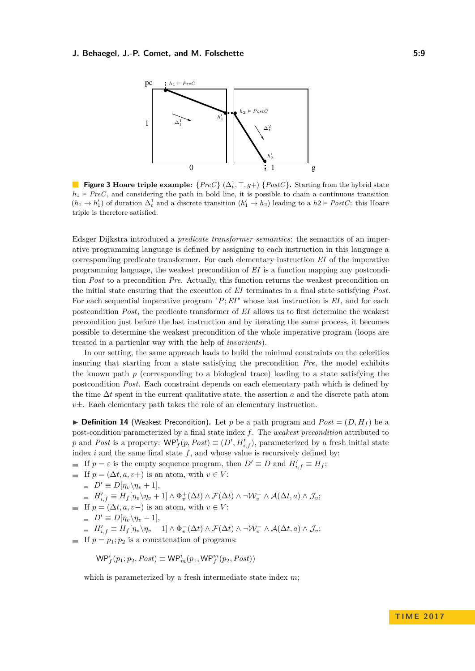<span id="page-8-0"></span>

**Figure 3 Hoare triple example:**  $\{PreC\} (\Delta_t^1, \top, g+) \{PostC\}$ . Starting from the hybrid state  $h_1 \models PreC$ , and considering the path in bold line, it is possible to chain a continuous transition  $(h_1 \to h'_1)$  of duration  $\Delta_t^1$  and a discrete transition  $(h'_1 \to h_2)$  leading to a  $h_2 \vDash PostC$ : this Hoare triple is therefore satisfied.

Edsger Dijkstra introduced a *predicate transformer semantics*: the semantics of an imperative programming language is defined by assigning to each instruction in this language a corresponding predicate transformer. For each elementary instruction *EI* of the imperative programming language, the weakest precondition of *EI* is a function mapping any postcondition *Post* to a precondition *Pre*. Actually, this function returns the weakest precondition on the initial state ensuring that the execution of *EI* terminates in a final state satisfying *Post*. For each sequential imperative program "*P*;*EI*" whose last instruction is *EI*, and for each postcondition *Post*, the predicate transformer of *EI* allows us to first determine the weakest precondition just before the last instruction and by iterating the same process, it becomes possible to determine the weakest precondition of the whole imperative program (loops are treated in a particular way with the help of *invariants*).

In our setting, the same approach leads to build the minimal constraints on the celerities insuring that starting from a state satisfying the precondition *Pre*, the model exhibits the known path  $p$  (corresponding to a biological trace) leading to a state satisfying the postcondition *Post*. Each constraint depends on each elementary path which is defined by the time ∆*t* spent in the current qualitative state, the assertion *a* and the discrete path atom *v*±. Each elementary path takes the role of an elementary instruction.

<span id="page-8-1"></span>**• Definition 14** (Weakest Precondition). Let p be a path program and  $Post = (D, H<sub>f</sub>)$  be a post-condition parameterized by a final state index *f*. The *weakest precondition* attributed to *p* and *Post* is a property:  $\mathsf{WP}_f^i(p, Post) \equiv (D', H'_{i,f})$ , parameterized by a fresh initial state index  $i$  and the same final state  $f$ , and whose value is recursively defined by:

- If  $p = \varepsilon$  is the empty sequence program, then  $D' \equiv D$  and  $H'_{i,f} \equiv H_f$ ;
- If  $p = (\Delta t, a, v+)$  is an atom, with  $v \in V$ :

$$
= D' \equiv D[\eta_v \backslash \eta_v + 1],
$$

$$
\hspace{0.1 cm} = \hspace{0.1 cm} H_{i,f}' \equiv H_f[\eta_v \backslash \eta_v + 1] \wedge \Phi_v^+(\Delta t) \wedge \mathcal{F}(\Delta t) \wedge \neg \mathcal{W}_v^+ \wedge \mathcal{A}(\Delta t,a) \wedge \mathcal{J}_v;
$$

- If  $p = (\Delta t, a, v-)$  is an atom, with  $v \in V$ :
	- $D' \equiv D[\eta_v \backslash \eta_v 1],$

$$
= H'_{i,f} \equiv H_f[\eta_v \backslash \eta_v - 1] \wedge \Phi_v^-(\Delta t) \wedge \mathcal{F}(\Delta t) \wedge \neg \mathcal{W}_v^- \wedge \mathcal{A}(\Delta t, a) \wedge \mathcal{J}_v;
$$

If  $p = p_1$ ;  $p_2$  is a concatenation of programs:

$$
\mathsf{WP}_f^i(p_1; p_2, Post) \equiv \mathsf{WP}_m^i(p_1, \mathsf{WP}_f^m(p_2, Post))
$$

which is parameterized by a fresh intermediate state index *m*;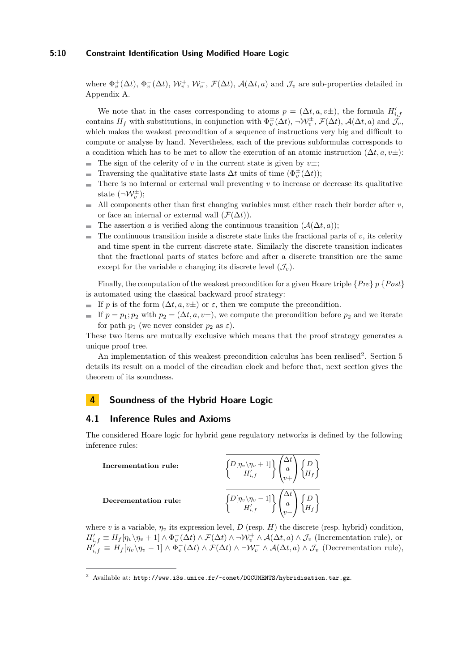#### **5:10 Constraint Identification Using Modified Hoare Logic**

where  $\Phi_v^+(\Delta t)$ ,  $\Phi_v^-(\Delta t)$ ,  $\mathcal{W}_v^+$ ,  $\mathcal{W}_v^-$ ,  $\mathcal{F}(\Delta t)$ ,  $\mathcal{A}(\Delta t, a)$  and  $\mathcal{J}_v$  are sub-properties detailed in Appendix [A.](#page-15-0)

We note that in the cases corresponding to atoms  $p = (\Delta t, a, v\pm)$ , the formula  $H'_{i,j}$ contains  $H_f$  with substitutions, in conjunction with  $\Phi_v^{\pm}(\Delta t)$ ,  $\neg \mathcal{W}_v^{\pm}$ ,  $\mathcal{F}(\Delta t)$ ,  $\mathcal{A}(\Delta t, a)$  and  $\mathcal{J}_v$ , which makes the weakest precondition of a sequence of instructions very big and difficult to compute or analyse by hand. Nevertheless, each of the previous subformulas corresponds to a condition which has to be met to allow the execution of an atomic instruction  $(\Delta t, a, v\pm)$ :  $\blacksquare$ The sign of the celerity of *v* in the current state is given by  $v\pm$ ;

- Traversing the qualitative state lasts  $\Delta t$  units of time  $(\Phi_v^{\pm}(\Delta t));$
- $\equiv$ There is no internal or external wall preventing *v* to increase or decrease its qualitative state  $(\neg \mathcal{W}_v^{\pm})$ ;
- All components other than first changing variables must either reach their border after *v*, or face an internal or external wall  $(\mathcal{F}(\Delta t)).$
- The assertion *a* is verified along the continuous transition  $(A(\Delta t, a))$ ;  $\sim$
- The continuous transition inside a discrete state links the fractional parts of  $v$ , its celerity m. and time spent in the current discrete state. Similarly the discrete transition indicates that the fractional parts of states before and after a discrete transition are the same except for the variable *v* changing its discrete level  $(\mathcal{J}_v)$ .

Finally, the computation of the weakest precondition for a given Hoare triple {*Pre*} *p* {*Post*} is automated using the classical backward proof strategy:

- If *p* is of the form  $(\Delta t, a, v\pm)$  or  $\varepsilon$ , then we compute the precondition.
- If  $p = p_1; p_2$  with  $p_2 = (\Delta t, a, v_{\pm}),$  we compute the precondition before  $p_2$  and we iterate for path  $p_1$  (we never consider  $p_2$  as  $\varepsilon$ ).

These two items are mutually exclusive which means that the proof strategy generates a unique proof tree.

An implementation of this weakest precondition calculus has been realised<sup>[2](#page-9-1)</sup>. Section [5](#page-11-0) details its result on a model of the circadian clock and before that, next section gives the theorem of its soundness.

# <span id="page-9-0"></span>**4 Soundness of the Hybrid Hoare Logic**

# <span id="page-9-2"></span>**4.1 Inference Rules and Axioms**

The considered Hoare logic for hybrid gene regulatory networks is defined by the following inference rules:

**Incrementation rule:**  $D[\eta_v \backslash \eta_v + 1]$  $\left\{ \begin{matrix} H'_{i,f} \ H'_{i,f} \end{matrix} \right\} \left( \begin{matrix} 0 \ 0 \end{matrix} \right)$  $\overline{1}$ ∆*t a v*+  $\setminus$  $\overline{1}$  *D H<sup>f</sup>*  $\mathcal{L}$ **Decrementation rule:**  $D[\eta_v \backslash \eta_v - 1]$  $\left\{ \begin{matrix} H'_{i,f} \ H'_{i,f} \end{matrix} \right\} \left( \begin{matrix} \end{matrix} \right)$  $\overline{1}$ ∆*t a v*−  $\setminus$  $\overline{1}$  *D H<sup>f</sup>*  $\mathcal{L}$ 

where *v* is a variable,  $\eta_v$  its expression level, *D* (resp. *H*) the discrete (resp. hybrid) condition,  $H'_{i,f} \equiv H_f[\eta_v \setminus \eta_v + 1] \wedge \Phi_v^+(\Delta t) \wedge \mathcal{F}(\Delta t) \wedge \neg \mathcal{W}_v^+ \wedge \mathcal{A}(\Delta t, a) \wedge \mathcal{J}_v$  (Incrementation rule), or  $H'_{i,f} \equiv H_f[\eta_v \setminus \eta_v - 1] \wedge \Phi_v^-(\Delta t) \wedge \mathcal{F}(\Delta t) \wedge \neg \mathcal{W}_v^- \wedge \mathcal{A}(\Delta t, a) \wedge \mathcal{J}_v$  (Decrementation rule),

<span id="page-9-1"></span><sup>&</sup>lt;sup>2</sup> Available at: <http://www.i3s.unice.fr/~comet/DOCUMENTS/hybridisation.tar.gz>.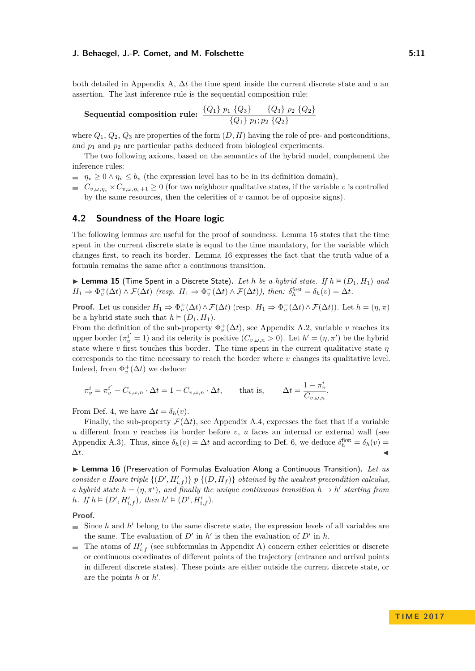#### **J. Behaegel, J.-P. Comet, and M. Folschette 6: 11** Computer 5:11

both detailed in Appendix [A,](#page-15-0) ∆*t* the time spent inside the current discrete state and *a* an assertion. The last inference rule is the sequential composition rule:

Sequential composition rule: 
$$
\frac{\{Q_1\} p_1 \{Q_3\}}{\{Q_1\} p_1; p_2 \{Q_2\}}
$$

where  $Q_1, Q_2, Q_3$  are properties of the form  $(D, H)$  having the role of pre- and postconditions, and  $p_1$  and  $p_2$  are particular paths deduced from biological experiments.

The two following axioms, based on the semantics of the hybrid model, complement the inference rules:

 $\eta_v \geq 0 \wedge \eta_v \leq b_v$  (the expression level has to be in its definition domain),

 $C_{v,\omega,\eta_v} \times C_{v,\omega,\eta_v+1} \geq 0$  (for two neighbour qualitative states, if the variable *v* is controlled by the same resources, then the celerities of *v* cannot be of opposite signs).

# **4.2 Soundness of the Hoare logic**

The following lemmas are useful for the proof of soundness. Lemma [15](#page-10-0) states that the time spent in the current discrete state is equal to the time mandatory, for the variable which changes first, to reach its border. Lemma [16](#page-10-1) expresses the fact that the truth value of a formula remains the same after a continuous transition.

<span id="page-10-0"></span>**Example 15** (Time Spent in a Discrete State). Let h be a hybrid state. If  $h \models (D_1, H_1)$  and  $H_1 \Rightarrow \Phi_v^+(\Delta t) \wedge \mathcal{F}(\Delta t)$  (resp.  $H_1 \Rightarrow \Phi_v^-(\Delta t) \wedge \mathcal{F}(\Delta t)$ ), then:  $\delta_h^{\text{first}} = \delta_h(v) = \Delta t$ .

**Proof.** Let us consider  $H_1 \Rightarrow \Phi_v^+(\Delta t) \wedge \mathcal{F}(\Delta t)$  (resp.  $H_1 \Rightarrow \Phi_v^-(\Delta t) \wedge \mathcal{F}(\Delta t)$ ). Let  $h = (\eta, \pi)$ be a hybrid state such that  $h \models (D_1, H_1)$ .

From the definition of the sub-property  $\Phi_v^+(\Delta t)$ , see Appendix [A.2,](#page-15-1) variable *v* reaches its upper border  $(\pi_v^{i'} = 1)$  and its celerity is positive  $(C_{v,\omega,n} > 0)$ . Let  $h' = (\eta, \pi')$  be the hybrid state where  $v$  first touches this border. The time spent in the current qualitative state  $\eta$ corresponds to the time necessary to reach the border where *v* changes its qualitative level. Indeed, from  $\Phi_v^+(\Delta t)$  we deduce:

$$
\pi_v^i = \pi_v^{i'} - C_{v,\omega,n} \cdot \Delta t = 1 - C_{v,\omega,n} \cdot \Delta t, \quad \text{that is,} \quad \Delta t = \frac{1 - \pi_v^i}{C_{v,\omega,n}}.
$$

From Def. [4,](#page-3-2) we have  $\Delta t = \delta_h(v)$ .

Finally, the sub-property  $\mathcal{F}(\Delta t)$ , see Appendix [A.4,](#page-16-0) expresses the fact that if a variable *u* different from *v* reaches its border before *v*, *u* faces an internal or external wall (see Appendix [A.3\)](#page-15-2). Thus, since  $\delta_h(v) = \Delta t$  and according to Def. [6,](#page-4-1) we deduce  $\delta_h^{\text{first}} = \delta_h(v) =$  $\Delta t$ .

<span id="page-10-1"></span>▶ Lemma 16 (Preservation of Formulas Evaluation Along a Continuous Transition). Let us *consider a Hoare triple*  $\{(D', H'_{i,f})\}$  *p*  $\{(D, H_f)\}$  *obtained by the weakest precondition calculus, a hybrid state*  $h = (\eta, \pi^i)$ , and finally the unique continuous transition  $h \to h'$  starting from *h.* If  $h \models (D', H'_{i,f})$ *, then*  $h' \models (D', H'_{i,f})$ *.* 

**Proof.**

- Since  $h$  and  $h'$  belong to the same discrete state, the expression levels of all variables are  $\overline{\phantom{a}}$ the same. The evaluation of  $D'$  in  $h'$  is then the evaluation of  $D'$  in  $h$ .
- The atoms of  $H'_{i,f}$  (see subformulas in Appendix A) concern either celerities or discrete  $\blacksquare$ or continuous coordinates of different points of the trajectory (entrance and arrival points in different discrete states). These points are either outside the current discrete state, or are the points  $h$  or  $h'$ .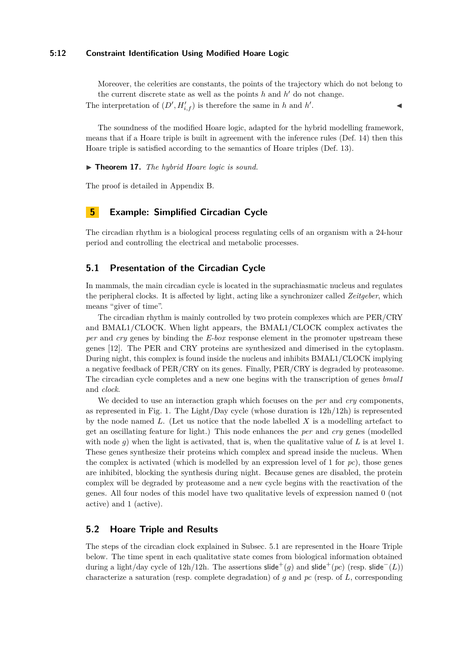#### **5:12 Constraint Identification Using Modified Hoare Logic**

Moreover, the celerities are constants, the points of the trajectory which do not belong to the current discrete state as well as the points  $h$  and  $h'$  do not change. The interpretation of  $(D', H'_{i,f})$  is therefore the same in *h* and *h*<sup>*i*</sup> . John J. J. J. J. J. J.

The soundness of the modified Hoare logic, adapted for the hybrid modelling framework, means that if a Hoare triple is built in agreement with the inference rules (Def. [14\)](#page-8-1) then this Hoare triple is satisfied according to the semantics of Hoare triples (Def. [13\)](#page-7-2).

▶ **Theorem 17.** *The hybrid Hoare logic is sound.* 

The proof is detailed in Appendix [B.](#page-17-0)

# <span id="page-11-0"></span>**5 Example: Simplified Circadian Cycle**

The circadian rhythm is a biological process regulating cells of an organism with a 24-hour period and controlling the electrical and metabolic processes.

### <span id="page-11-1"></span>**5.1 Presentation of the Circadian Cycle**

In mammals, the main circadian cycle is located in the suprachiasmatic nucleus and regulates the peripheral clocks. It is affected by light, acting like a synchronizer called *Zeitgeber*, which means "giver of time".

The circadian rhythm is mainly controlled by two protein complexes which are PER/CRY and BMAL1/CLOCK. When light appears, the BMAL1/CLOCK complex activates the *per* and *cry* genes by binding the *E-box* response element in the promoter upstream these genes [\[12\]](#page-14-16). The PER and CRY proteins are synthesized and dimerised in the cytoplasm. During night, this complex is found inside the nucleus and inhibits BMAL1/CLOCK implying a negative feedback of PER/CRY on its genes. Finally, PER/CRY is degraded by proteasome. The circadian cycle completes and a new one begins with the transcription of genes *bmal1* and *clock*.

We decided to use an interaction graph which focuses on the *per* and *cry* components, as represented in Fig. [1.](#page-2-1) The Light/Day cycle (whose duration is  $12h/12h$ ) is represented by the node named *L*. (Let us notice that the node labelled *X* is a modelling artefact to get an oscillating feature for light.) This node enhances the *per* and *cry* genes (modelled with node q) when the light is activated, that is, when the qualitative value of L is at level 1. These genes synthesize their proteins which complex and spread inside the nucleus. When the complex is activated (which is modelled by an expression level of 1 for  $pc$ ), those genes are inhibited, blocking the synthesis during night. Because genes are disabled, the protein complex will be degraded by proteasome and a new cycle begins with the reactivation of the genes. All four nodes of this model have two qualitative levels of expression named 0 (not active) and 1 (active).

### **5.2 Hoare Triple and Results**

The steps of the circadian clock explained in Subsec. [5.1](#page-11-1) are represented in the Hoare Triple below. The time spent in each qualitative state comes from biological information obtained during a light/day cycle of  $12h/12h$ . The assertions slide<sup>+</sup>(*g*) and slide<sup>+</sup>(*pc*) (resp. slide<sup>−</sup>(*L*)) characterize a saturation (resp. complete degradation) of *g* and *pc* (resp. of *L*, corresponding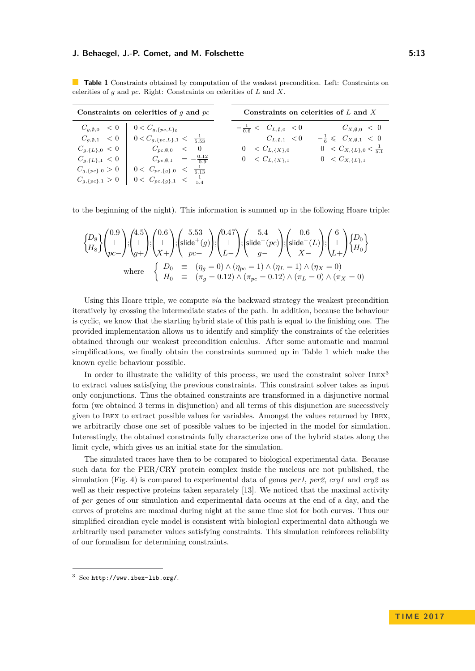#### **J. Behaegel, J.-P. Comet, and M. Folschette 6:232 September 1: 1332 State 5:13**

| Constraints on celerities of $q$ and $pc$ |                                                                                  |                                          | Constraints on celerities of $L$ and $X$  |  |
|-------------------------------------------|----------------------------------------------------------------------------------|------------------------------------------|-------------------------------------------|--|
|                                           | $C_{g, \emptyset, 0}$ < 0   $0 < C_{g, \{pc, L\}_0}$                             | $-\frac{1}{0.6} < C_{L,\emptyset,0} < 0$ | $C_{X,\emptyset,0} < 0$                   |  |
|                                           | $C_{g, \emptyset, 1} < 0 \quad   \quad 0 < C_{g, \{pc, L\}, 1} < \frac{1}{5.53}$ | $C_{L,\emptyset,1}$ $< 0$                | $-\frac{1}{6} \leq C_{X,\emptyset,1} < 0$ |  |
|                                           | $C_{g,\{L\},0} < 0$ $C_{pc,\emptyset,0} < 0$                                     | $0 \leq C_{L,\{X\},0}$                   | $0 \lt C_{X,\{L\},0} \lt \frac{1}{5.1}$   |  |
| $C_{g,\{L\},1} < 0$                       | $C_{pc,\emptyset,1} = -\frac{0.12}{0.9}$                                         | $0 \leq C_{L, \{X\},1}$                  | $0 \leq C_{X,\{L\},1}$                    |  |
| $C_{g,\{pc\},0} > 0$                      | $0 < C_{pc,\{g\},0} < \frac{1}{6.13}$                                            |                                          |                                           |  |
|                                           | $C_{g,\{pc\},1} > 0$   $0 < C_{pc,\{g\},1} < \frac{1}{5.4}$                      |                                          |                                           |  |

<span id="page-12-0"></span>**Table 1** Constraints obtained by computation of the weakest precondition. Left: Constraints on celerities of *g* and *pc*. Right: Constraints on celerities of *L* and *X*.

to the beginning of the night). This information is summed up in the following Hoare triple:

$$
\begin{cases}\nD_8 \\
H_8\n\end{cases}\n\begin{pmatrix}\n0.9 \\
\top \\
pc\n\end{pmatrix}\n;\n\begin{pmatrix}\n4.5 \\
\top \\
g+\n\end{pmatrix}\n;\n\begin{pmatrix}\n0.6 \\
\top \\
X+\n\end{pmatrix}\n;\n\begin{pmatrix}\n5.53 \\
\text{slide}^+(g)\n\end{pmatrix}\n;\n\begin{pmatrix}\n0.47 \\
\top \\
L-\n\end{pmatrix}\n;\n\begin{pmatrix}\n5.4 \\
\text{slide}^+(pc)\n\end{pmatrix}\n;\n\begin{pmatrix}\n0.6 \\
\text{slide}^-(L)\n\end{pmatrix}\n;\n\begin{pmatrix}\n6 \\
\top \\
L+\n\end{pmatrix}\n\begin{pmatrix}\nD_0 \\
H_0\n\end{pmatrix}\n\end{cases}
$$
\nwhere\n
$$
\begin{cases}\nD_0 \equiv (\eta_g = 0) \land (\eta_{pc} = 1) \land (\eta_L = 1) \land (\eta_X = 0) \\
H_0 \equiv (\pi_g = 0.12) \land (\pi_{pc} = 0.12) \land (\pi_L = 0) \land (\pi_X = 0)\n\end{cases}
$$

Using this Hoare triple, we compute *via* the backward strategy the weakest precondition iteratively by crossing the intermediate states of the path. In addition, because the behaviour is cyclic, we know that the starting hybrid state of this path is equal to the finishing one. The provided implementation allows us to identify and simplify the constraints of the celerities obtained through our weakest precondition calculus. After some automatic and manual simplifications, we finally obtain the constraints summed up in Table [1](#page-12-0) which make the known cyclic behaviour possible.

In order to illustrate the validity of this process, we used the constraint solver IBEX<sup>[3](#page-12-1)</sup> to extract values satisfying the previous constraints. This constraint solver takes as input only conjunctions. Thus the obtained constraints are transformed in a disjunctive normal form (we obtained 3 terms in disjunction) and all terms of this disjunction are successively given to Ibex to extract possible values for variables. Amongst the values returned by Ibex, we arbitrarily chose one set of possible values to be injected in the model for simulation. Interestingly, the obtained constraints fully characterize one of the hybrid states along the limit cycle, which gives us an initial state for the simulation.

The simulated traces have then to be compared to biological experimental data. Because such data for the PER/CRY protein complex inside the nucleus are not published, the simulation (Fig. [4\)](#page-13-1) is compared to experimental data of genes *per1*, *per2*, *cry1* and *cry2* as well as their respective proteins taken separately [\[13\]](#page-14-17). We noticed that the maximal activity of *per* genes of our simulation and experimental data occurs at the end of a day, and the curves of proteins are maximal during night at the same time slot for both curves. Thus our simplified circadian cycle model is consistent with biological experimental data although we arbitrarily used parameter values satisfying constraints. This simulation reinforces reliability of our formalism for determining constraints.

<span id="page-12-1"></span> $3$  See <http://www.ibex-lib.org/>.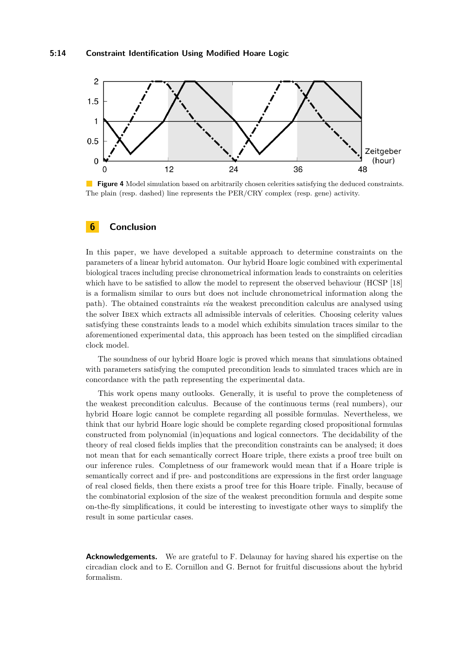<span id="page-13-1"></span>

**Figure 4** Model simulation based on arbitrarily chosen celerities satisfying the deduced constraints. The plain (resp. dashed) line represents the PER/CRY complex (resp. gene) activity.

# <span id="page-13-0"></span>**6 Conclusion**

In this paper, we have developed a suitable approach to determine constraints on the parameters of a linear hybrid automaton. Our hybrid Hoare logic combined with experimental biological traces including precise chronometrical information leads to constraints on celerities which have to be satisfied to allow the model to represent the observed behaviour (HCSP [\[18\]](#page-14-11) is a formalism similar to ours but does not include chronometrical information along the path). The obtained constraints *via* the weakest precondition calculus are analysed using the solver Ibex which extracts all admissible intervals of celerities. Choosing celerity values satisfying these constraints leads to a model which exhibits simulation traces similar to the aforementioned experimental data, this approach has been tested on the simplified circadian clock model.

The soundness of our hybrid Hoare logic is proved which means that simulations obtained with parameters satisfying the computed precondition leads to simulated traces which are in concordance with the path representing the experimental data.

This work opens many outlooks. Generally, it is useful to prove the completeness of the weakest precondition calculus. Because of the continuous terms (real numbers), our hybrid Hoare logic cannot be complete regarding all possible formulas. Nevertheless, we think that our hybrid Hoare logic should be complete regarding closed propositional formulas constructed from polynomial (in)equations and logical connectors. The decidability of the theory of real closed fields implies that the precondition constraints can be analysed; it does not mean that for each semantically correct Hoare triple, there exists a proof tree built on our inference rules. Completness of our framework would mean that if a Hoare triple is semantically correct and if pre- and postconditions are expressions in the first order language of real closed fields, then there exists a proof tree for this Hoare triple. Finally, because of the combinatorial explosion of the size of the weakest precondition formula and despite some on-the-fly simplifications, it could be interesting to investigate other ways to simplify the result in some particular cases.

**Acknowledgements.** We are grateful to F. Delaunay for having shared his expertise on the circadian clock and to E. Cornillon and G. Bernot for fruitful discussions about the hybrid formalism.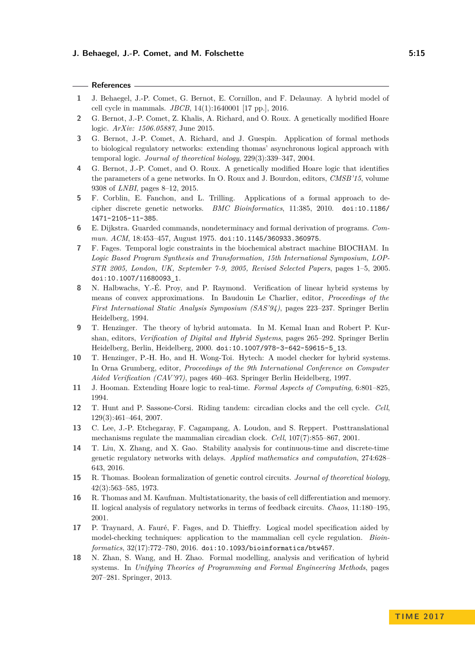#### **References**

- <span id="page-14-7"></span>**1** J. Behaegel, J.-P. Comet, G. Bernot, E. Cornillon, and F. Delaunay. A hybrid model of cell cycle in mammals. *JBCB*, 14(1):1640001 [17 pp.], 2016.
- <span id="page-14-12"></span>**2** G. Bernot, J.-P. Comet, Z. Khalis, A. Richard, and O. Roux. A genetically modified Hoare logic. *ArXiv: 1506.05887*, June 2015.
- <span id="page-14-2"></span>**3** G. Bernot, J.-P. Comet, A. Richard, and J. Guespin. Application of formal methods to biological regulatory networks: extending thomas' asynchronous logical approach with temporal logic. *Journal of theoretical biology*, 229(3):339–347, 2004.
- <span id="page-14-13"></span>**4** G. Bernot, J.-P. Comet, and O. Roux. A genetically modified Hoare logic that identifies the parameters of a gene networks. In O. Roux and J. Bourdon, editors, *CMSB'15*, volume 9308 of *LNBI*, pages 8–12, 2015.
- <span id="page-14-0"></span>**5** F. Corblin, E. Fanchon, and L. Trilling. Applications of a formal approach to decipher discrete genetic networks. *BMC Bioinformatics*, 11:385, 2010. [doi:10.1186/](http://dx.doi.org/10.1186/1471-2105-11-385) [1471-2105-11-385](http://dx.doi.org/10.1186/1471-2105-11-385).
- <span id="page-14-15"></span>**6** E. Dijkstra. Guarded commands, nondeterminacy and formal derivation of programs. *Commun. ACM*, 18:453–457, August 1975. [doi:10.1145/360933.360975](http://dx.doi.org/10.1145/360933.360975).
- <span id="page-14-3"></span>**7** F. Fages. Temporal logic constraints in the biochemical abstract machine BIOCHAM. In *Logic Based Program Synthesis and Transformation, 15th International Symposium, LOP-STR 2005, London, UK, September 7-9, 2005, Revised Selected Papers*, pages 1–5, 2005. [doi:10.1007/11680093\\_1](http://dx.doi.org/10.1007/11680093_1).
- <span id="page-14-10"></span>**8** N. Halbwachs, Y.-É. Proy, and P. Raymond. Verification of linear hybrid systems by means of convex approximations. In Baudouin Le Charlier, editor, *Proceedings of the First International Static Analysis Symposium (SAS'94)*, pages 223–237. Springer Berlin Heidelberg, 1994.
- <span id="page-14-8"></span>**9** T. Henzinger. The theory of hybrid automata. In M. Kemal Inan and Robert P. Kurshan, editors, *Verification of Digital and Hybrid Systems*, pages 265–292. Springer Berlin Heidelberg, Berlin, Heidelberg, 2000. [doi:10.1007/978-3-642-59615-5\\_13](http://dx.doi.org/10.1007/978-3-642-59615-5_13).
- <span id="page-14-9"></span>**10** T. Henzinger, P.-H. Ho, and H. Wong-Toi. Hytech: A model checker for hybrid systems. In Orna Grumberg, editor, *Proceedings of the 9th International Conference on Computer Aided Verification (CAV'97)*, pages 460–463. Springer Berlin Heidelberg, 1997.
- <span id="page-14-14"></span>**11** J. Hooman. Extending Hoare logic to real-time. *Formal Aspects of Computing*, 6:801–825, 1994.
- <span id="page-14-16"></span>**12** T. Hunt and P. Sassone-Corsi. Riding tandem: circadian clocks and the cell cycle. *Cell*, 129(3):461–464, 2007.
- <span id="page-14-17"></span>**13** C. Lee, J.-P. Etchegaray, F. Cagampang, A. Loudon, and S. Reppert. Posttranslational mechanisms regulate the mammalian circadian clock. *Cell*, 107(7):855–867, 2001.
- <span id="page-14-4"></span>**14** T. Liu, X. Zhang, and X. Gao. Stability analysis for continuous-time and discrete-time genetic regulatory networks with delays. *Applied mathematics and computation*, 274:628– 643, 2016.
- <span id="page-14-6"></span>**15** R. Thomas. Boolean formalization of genetic control circuits. *Journal of theoretical biology*, 42(3):563–585, 1973.
- <span id="page-14-5"></span>**16** R. Thomas and M. Kaufman. Multistationarity, the basis of cell differentiation and memory. II. logical analysis of regulatory networks in terms of feedback circuits. *Chaos*, 11:180–195, 2001.
- <span id="page-14-1"></span>**17** P. Traynard, A. Fauré, F. Fages, and D. Thieffry. Logical model specification aided by model-checking techniques: application to the mammalian cell cycle regulation. *Bioinformatics*, 32(17):772–780, 2016. [doi:10.1093/bioinformatics/btw457](http://dx.doi.org/10.1093/bioinformatics/btw457).
- <span id="page-14-11"></span>**18** N. Zhan, S. Wang, and H. Zhao. Formal modelling, analysis and verification of hybrid systems. In *Unifying Theories of Programming and Formal Engineering Methods*, pages 207–281. Springer, 2013.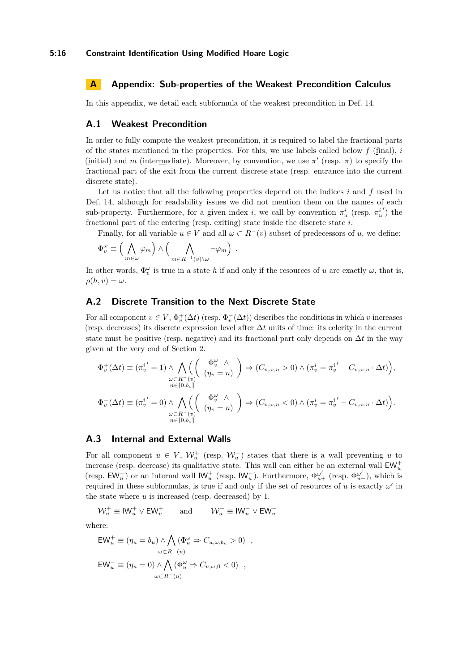# <span id="page-15-0"></span>**A Appendix: Sub-properties of the Weakest Precondition Calculus**

In this appendix, we detail each subformula of the weakest precondition in Def. [14.](#page-8-1)

### **A.1 Weakest Precondition**

In order to fully compute the weakest precondition, it is required to label the fractional parts of the states mentioned in the properties. For this, we use labels called below *f* (final), *i* (initial) and *m* (intermediate). Moreover, by convention, we use  $\pi'$  (resp.  $\pi$ ) to specify the fractional part of the exit from the current discrete state (resp. entrance into the current discrete state).

Let us notice that all the following properties depend on the indices *i* and *f* used in Def. [14,](#page-8-1) although for readability issues we did not mention them on the names of each sub-property. Furthermore, for a given index *i*, we call by convention  $\pi_u^i$  (resp.  $\pi_u^i$  $')$  the fractional part of the entering (resp. exiting) state inside the discrete state *i*.

Finally, for all variable  $u \in V$  and all  $\omega \subset R^-(v)$  subset of predecessors of *u*, we define:

$$
\Phi_v^{\omega} \equiv \Big(\bigwedge_{m \in \omega} \varphi_m\Big) \wedge \Big(\bigwedge_{m \in R^{-1}(v) \backslash \omega} \neg \varphi_m\Big)
$$

In other words,  $\Phi_v^{\omega}$  is true in a state *h* if and only if the resources of *u* are exactly  $\omega$ , that is,  $\rho(h, v) = \omega$ .

*.*

## <span id="page-15-1"></span>**A.2 Discrete Transition to the Next Discrete State**

For all component  $v \in V$ ,  $\Phi_v^+(\Delta t)$  (resp.  $\Phi_v^-(\Delta t)$ ) describes the conditions in which *v* increases (resp. decreases) its discrete expression level after ∆*t* units of time: its celerity in the current state must be positive (resp. negative) and its fractional part only depends on  $\Delta t$  in the way given at the very end of Section [2.](#page-2-0)

$$
\Phi_v^+(\Delta t) \equiv (\pi_v^{i'} = 1) \wedge \bigwedge_{\substack{\omega \subset R^-(v) \\ n \in [0, b_v]}} \left( \begin{array}{c} \Phi_v^{\omega} \wedge \\ (\eta_v = n) \end{array} \right) \Rightarrow (C_{v, \omega, n} > 0) \wedge (\pi_v^{i} = {\pi_v^{i'}} - C_{v, \omega, n} \cdot \Delta t) \Big),
$$
  

$$
\Phi_v^-(\Delta t) \equiv (\pi_v^{i'} = 0) \wedge \bigwedge_{\substack{\omega \subset R^-(v) \\ n \in [0, b_v]}} \left( \begin{array}{c} \Phi_v^{\omega} \wedge \\ (\eta_v = n) \end{array} \right) \Rightarrow (C_{v, \omega, n} < 0) \wedge (\pi_v^{i} = {\pi_v^{i'}} - C_{v, \omega, n} \cdot \Delta t) \Big).
$$

### <span id="page-15-2"></span>**A.3 Internal and External Walls**

For all component  $u \in V$ ,  $\mathcal{W}_u^+$  (resp.  $\mathcal{W}_u^-$ ) states that there is a wall preventing *u* to increase (resp. decrease) its qualitative state. This wall can either be an external wall  $EW_u^+$ (resp.  $EW_u^-$ ) or an internal wall  $IW_u^+$  (resp.  $IW_u^-$ ). Furthermore,  $\Phi_{u+}^{\omega'}$  (resp.  $\Phi_{u-}^{\omega'}$ ), which is required in these subformulas, is true if and only if the set of resources of  $u$  is exactly  $\omega'$  in the state where *u* is increased (resp. decreased) by 1.

 $\mathcal{W}_u^+ \equiv \mathsf{IW}_u^+ \vee \mathsf{EW}_u^+$ *u* and  $W_u^-$  ≡  $W_u^-$  ∨ EW<sub>*u*</sub>

where:

$$
EW_u^+ \equiv (\eta_u = b_u) \wedge \bigwedge_{\omega \subset R^-(u)} (\Phi_u^{\omega} \Rightarrow C_{u,\omega,b_u} > 0) ,
$$
  
\n
$$
EW_u^- \equiv (\eta_u = 0) \wedge \bigwedge_{\omega \subset R^-(u)} (\Phi_u^{\omega} \Rightarrow C_{u,\omega,0} < 0) ,
$$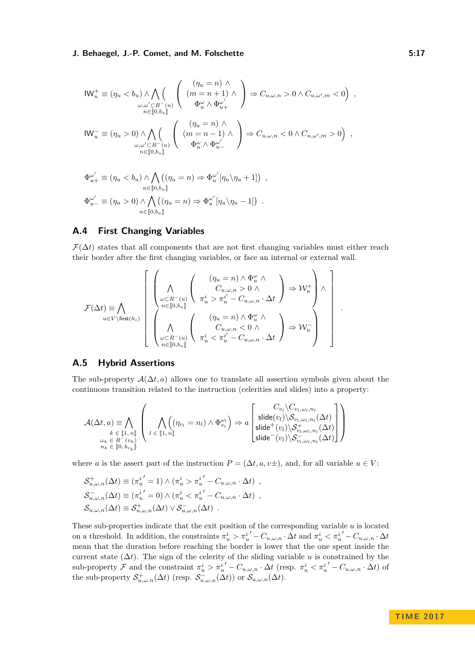$$
\begin{aligned} \text{IW}_{u}^{+} &\equiv (\eta_{u} < b_{u}) \wedge \bigwedge_{\omega, \omega' \subset R^{-}(u)} \left( \begin{array}{c} (\eta_{u} = n) \wedge \\ (m = n + 1) \wedge \\ \Phi_{u}^{\omega} \wedge \Phi_{u+}^{\omega'} \end{array} \right) \Rightarrow C_{u, \omega, n} > 0 \wedge C_{u, \omega', m} < 0 \right) ,\\ \text{IW}_{u}^{-} &\equiv (\eta_{u} > 0) \wedge \bigwedge_{\omega, \omega' \subset R^{-}(u)} \left( \begin{array}{c} (\eta_{u} = n) \wedge \\ (m = n - 1) \wedge \\ \Phi_{u}^{\omega} \wedge \Phi_{u-}^{\omega'} \end{array} \right) \Rightarrow C_{u, \omega, n} < 0 \wedge C_{u, \omega', m} > 0 \right) ,\\ \text{W}_{u}^{-} &\equiv (\eta_{u} > 0) \wedge \bigwedge_{n \in [0, b_{u}]} \left( \begin{array}{c} (\eta_{u} = n) \wedge \\ (\eta_{u} = n - 1) \wedge \\ \Phi_{u}^{\omega} \wedge \Phi_{u-}^{\omega'} \end{array} \right) \Rightarrow C_{u, \omega, n} < 0 \wedge C_{u, \omega', m} > 0 \right) , \end{aligned}
$$

$$
\Phi_{u+}^{\omega'} \equiv (\eta_u < b_u) \land \bigwedge_{n \in [0, b_u]} ((\eta_u = n) \Rightarrow \Phi_u^{\omega'} [\eta_u \backslash \eta_u + 1]) ,
$$
\n
$$
\Phi_{u-}^{\omega'} \equiv (\eta_u > 0) \land \bigwedge_{n \in [0, b_u]} ((\eta_u = n) \Rightarrow \Phi_u^{\omega'} [\eta_u \backslash \eta_u - 1]) .
$$

# <span id="page-16-0"></span>**A.4 First Changing Variables**

 $\mathcal{F}(\Delta t)$  states that all components that are not first changing variables must either reach their border after the first changing variables, or face an internal or external wall.

*.*

$$
\mathcal{F}(\Delta t) \equiv \bigwedge_{u \in V \backslash \textrm{first}(h_i)} \left[ \begin{array}{c} \left( \bigwedge \limits_{\omega \subset R^{-}(u)} \left( \begin{array}{c} (\eta_u = n) \wedge \Phi_u^{\omega} \wedge \\ C_{u,\omega,n} > 0 \wedge \\ \pi_u^i > \pi_u^{i'} - C_{u,\omega,n} \cdot \Delta t \end{array} \right) \Rightarrow \mathcal{W}_u^+ \right) \wedge \\ \left( \bigwedge \limits_{u \in V \backslash \textrm{first}(h_i)} \left( \begin{array}{c} (\eta_u = n) \wedge \Phi_u^{\omega} \wedge \\ \pi_u^i > \pi_u^{i'} - C_{u,\omega,n} < 0 \wedge \\ C_{u,\omega,n} < 0 \wedge \\ \pi_u^i < \pi_u^{i'} - C_{u,\omega,n} \cdot \Delta t \end{array} \right) \Rightarrow \mathcal{W}_u^- \right) \end{array} \right]
$$

### **A.5 Hybrid Assertions**

The sub-property  $\mathcal{A}(\Delta t, a)$  allows one to translate all assertion symbols given about the continuous transition related to the instruction (celerities and slides) into a property:

$$
\mathcal{A}(\Delta t, a) \equiv \bigwedge_{\substack{k \in [\![1, n]\!]} \atop \omega_k \in R^-(v_k)}} \left( \bigwedge_{l \in [\![1, n]\!]} ((\eta_{v_l} = n_l) \wedge \Phi_{v_l}^{\omega_l}) \Rightarrow a \begin{bmatrix} C_{v_l} \setminus C_{v_l, \omega_l, n_l} \\ \text{slide}(v_l) \setminus S_{v_l, \omega_l, n_l}(\Delta t) \\ \text{slide}^+(v_l) \setminus S_{v_l, \omega_l, n_l}^+(\Delta t) \\ \text{slide}^-(v_l) \setminus S_{v_l, \omega_l, n_l}(\Delta t) \end{bmatrix} \right)
$$

where *a* is the assert part of the instruction  $P = (\Delta t, a, v\pm)$ , and, for all variable  $u \in V$ :

$$
\mathcal{S}_{u,\omega,n}^+(\Delta t) \equiv (\pi_u^{i'} = 1) \wedge (\pi_u^{i} > \pi_u^{i'} - C_{u,\omega,n} \cdot \Delta t) ,
$$
  
\n
$$
\mathcal{S}_{u,\omega,n}^-(\Delta t) \equiv (\pi_u^{i'} = 0) \wedge (\pi_u^{i} < \pi_u^{i'} - C_{u,\omega,n} \cdot \Delta t) ,
$$
  
\n
$$
\mathcal{S}_{u,\omega,n}(\Delta t) \equiv \mathcal{S}_{u,\omega,n}^+(\Delta t) \vee \mathcal{S}_{u,\omega,n}(\Delta t) .
$$

These sub-properties indicate that the exit position of the corresponding variable *u* is located on a threshold. In addition, the constraints  $\pi_u^i > \pi_u^{i'} - C_{u,\omega,n} \cdot \Delta t$  and  $\pi_u^i < \pi_u^{i'} - C_{u,\omega,n} \cdot \Delta t$ mean that the duration before reaching the border is lower that the one spent inside the current state (∆*t*). The sign of the celerity of the sliding variable *u* is constrained by the sub-property  $\mathcal F$  and the constraint  $\pi_u^i > \pi_u^{i'} - C_{u,\omega,n} \cdot \Delta t$  (resp.  $\pi_u^i < \pi_u^{i'} - C_{u,\omega,n} \cdot \Delta t$ ) of the sub-property  $S^+_{u,\omega,n}(\Delta t)$  (resp.  $S^-_{u,\omega,n}(\Delta t)$ ) or  $S_{u,\omega,n}(\Delta t)$ .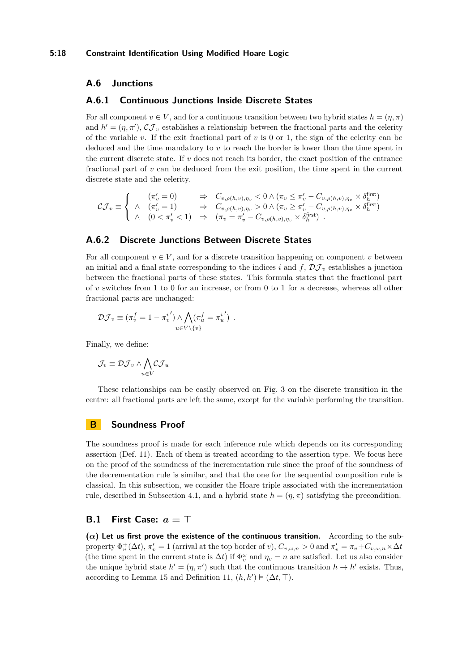### **A.6 Junctions**

#### **A.6.1 Continuous Junctions Inside Discrete States**

For all component  $v \in V$ , and for a continuous transition between two hybrid states  $h = (\eta, \pi)$ and  $h' = (\eta, \pi')$ ,  $\mathcal{CI}_v$  establishes a relationship between the fractional parts and the celerity of the variable *v*. If the exit fractional part of *v* is 0 or 1, the sign of the celerity can be deduced and the time mandatory to *v* to reach the border is lower than the time spent in the current discrete state. If *v* does not reach its border, the exact position of the entrance fractional part of *v* can be deduced from the exit position, the time spent in the current discrete state and the celerity.

$$
\mathcal{CJ}_v \equiv \left\{ \begin{array}{ccc} (\pi'_v = 0) & \Rightarrow & C_{v,\rho(h,v),\eta_v} < 0 \wedge (\pi_v \leq \pi'_v - C_{v,\rho(h,v),\eta_v} \times \delta^{\text{first}}_h) \\ \wedge & (\pi'_v = 1) & \Rightarrow & C_{v,\rho(h,v),\eta_v} > 0 \wedge (\pi_v \geq \pi'_v - C_{v,\rho(h,v),\eta_v} \times \delta^{\text{first}}_h) \\ \wedge & (0 < \pi'_v < 1) & \Rightarrow & (\pi_v = \pi'_v - C_{v,\rho(h,v),\eta_v} \times \delta^{\text{first}}_h) \end{array} \right.
$$

# **A.6.2 Discrete Junctions Between Discrete States**

For all component  $v \in V$ , and for a discrete transition happening on component v between an initial and a final state corresponding to the indices *i* and  $f$ ,  $\mathcal{D}J_v$  establishes a junction between the fractional parts of these states. This formula states that the fractional part of *v* switches from 1 to 0 for an increase, or from 0 to 1 for a decrease, whereas all other fractional parts are unchanged:

$$
\mathcal{DJ}_v \equiv (\pi_v^f = 1 - {\pi_v^i}') \wedge \bigwedge_{u \in V \setminus \{v\}} (\pi_u^f = {\pi_u^i}') .
$$

Finally, we define:

$$
\mathcal{J}_v \equiv \mathcal{DJ}_v \wedge \bigwedge_{u \in V} \mathcal{CI}_u
$$

These relationships can be easily observed on Fig. [3](#page-8-0) on the discrete transition in the centre: all fractional parts are left the same, except for the variable performing the transition.

# <span id="page-17-0"></span>**B Soundness Proof**

The soundness proof is made for each inference rule which depends on its corresponding assertion (Def. [11\)](#page-7-3). Each of them is treated according to the assertion type. We focus here on the proof of the soundness of the incrementation rule since the proof of the soundness of the decrementation rule is similar, and that the one for the sequential composition rule is classical. In this subsection, we consider the Hoare triple associated with the incrementation rule, described in Subsection [4.1,](#page-9-2) and a hybrid state  $h = (\eta, \pi)$  satisfying the precondition.

# **B.1 First Case:** *a* **= >**

 $(\alpha)$  Let us first prove the existence of the continuous transition. According to the subproperty  $\Phi_v^+(\Delta t)$ ,  $\pi'_v = 1$  (arrival at the top border of *v*),  $C_{v,\omega,n} > 0$  and  $\pi'_v = \pi_v + C_{v,\omega,n} \times \Delta t$ (the time spent in the current state is  $\Delta t$ ) if  $\Phi_v^{\omega}$  and  $\eta_v = n$  are satisfied. Let us also consider the unique hybrid state  $h' = (\eta, \pi')$  such that the continuous transition  $h \to h'$  exists. Thus, according to Lemma [15](#page-10-0) and Definition [11,](#page-7-3)  $(h, h') \models (\Delta t, \top)$ .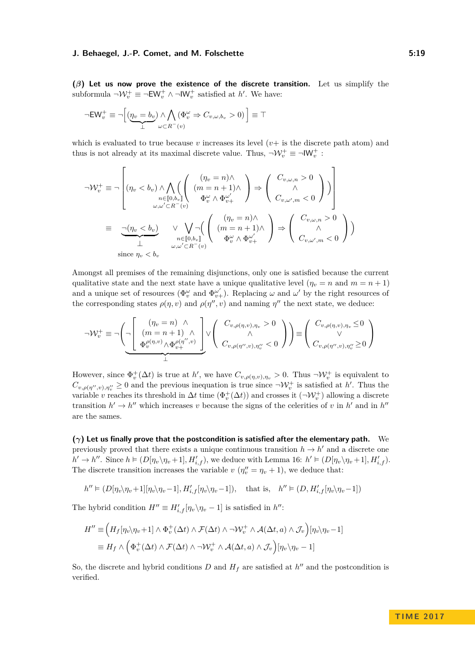#### **J. Behaegel, J.-P. Comet, and M. Folschette 6:20 Company 1:40 Company 1:40 Company 1:40 Company 1:40**

**(***β***) Let us now prove the existence of the discrete transition.** Let us simplify the subformula  $\neg \mathcal{W}_v^+ \equiv \neg \mathsf{EW}_v^+ \wedge \neg \mathsf{IW}_v^+$  satisfied at *h'*. We have:

$$
\neg \mathrm{EW}_v^+ \equiv \neg \Big[ (\underbrace{\eta_v=b_v}_{\perp}) \wedge \bigwedge_{\omega \subset R^-(v)} (\Phi_v^{\omega} \Rightarrow C_{v,\omega,b_v}>0) \, \Big] \equiv \top
$$

which is evaluated to true because  $v$  increases its level  $(v)$  is the discrete path atom) and thus is not already at its maximal discrete value. Thus,  $\neg \mathcal{W}_v^+ \equiv \neg \mathsf{IW}_v^+$ :

$$
\neg \mathcal{W}_{v}^{+} \equiv \neg \left[ (\eta_{v} < b_{v}) \land \bigwedge_{n \in [0, b_{v}]} \left( \begin{array}{c} (\eta_{v} = n) \land \\ (m = n + 1) \land \\ \Phi_{v}^{\omega} \land \Phi_{v}^{\omega'} \end{array} \right) \Rightarrow \left( \begin{array}{c} C_{v, \omega, n} > 0 \\ \land \\ C_{v, \omega', m} < 0 \end{array} \right) \right]
$$
\n
$$
\equiv \bigcup_{\substack{\omega, \omega' \subset R^{-}(v) \\ \bot}} (\eta_{v} < b_{v}) \qquad \lor \bigvee_{n \in [0, b_{v}]} \left( \begin{array}{c} (\eta_{v} = n) \land \\ (m = n + 1) \land \\ \Phi_{v}^{\omega} \land \Phi_{v}^{\omega'} \end{array} \right) \Rightarrow \left( \begin{array}{c} C_{v, \omega, n} > 0 \\ \land \\ C_{v, \omega', m} < 0 \end{array} \right) \right)
$$
\n
$$
\text{since } \eta_{v} < b_{v}
$$

Amongst all premises of the remaining disjunctions, only one is satisfied because the current qualitative state and the next state have a unique qualitative level  $(\eta_v = n \text{ and } m = n + 1)$ and a unique set of resources ( $\Phi_v^{\omega}$  and  $\Phi_{v+}^{\omega'}$ ). Replacing  $\omega$  and  $\omega'$  by the right resources of the corresponding states  $\rho(\eta, v)$  and  $\rho(\eta'', v)$  and naming  $\eta''$  the next state, we deduce:

$$
\neg \mathcal{W}_v^+ \equiv \neg \left( \neg \left[ \begin{array}{c} (\eta_v = n) \land \\ (m = n + 1) \land \\ \Phi_v^{(\rho(\eta, v)} \land \Phi_{v_+}^{\rho(\eta'', v)} \end{array} \right] \vee \left( \begin{array}{c} C_{v, \rho(\eta, v), \eta_v} > 0 \\ \land \\ C_{v, \rho(\eta'', v), \eta_v''} < 0 \end{array} \right) \right) \equiv \left( \begin{array}{c} C_{v, \rho(\eta, v), \eta_v} \le 0 \\ \vee \\ C_{v, \rho(\eta'', v), \eta_v''} \ge 0 \end{array} \right)
$$

However, since  $\Phi_v^+(\Delta t)$  is true at *h*', we have  $C_{v,\rho(\eta,v),\eta_v} > 0$ . Thus  $\neg \mathcal{W}_v^+$  is equivalent to  $C_{v,\rho(\eta'',v),\eta''_v} \geq 0$  and the previous inequation is true since  $\neg \mathcal{W}_v^+$  is satisfied at *h*'. Thus the variable *v* reaches its threshold in  $\Delta t$  time  $(\Phi_v^+(\Delta t))$  and crosses it  $(\neg \mathcal{W}_v^+)$  allowing a discrete transition  $h' \to h''$  which increases *v* because the signs of the celerities of *v* in *h'* and in *h''* are the sames.

**(***γ***) Let us finally prove that the postcondition is satisfied after the elementary path.** We previously proved that there exists a unique continuous transition  $h \to h'$  and a discrete one  $h' \to h''$ . Since  $h \models (D[\eta_v \setminus \eta_v + 1], H'_{i,f})$ , we deduce with Lemma [16:](#page-10-1)  $h' \models (D[\eta_v \setminus \eta_v + 1], H'_{i,f})$ . The discrete transition increases the variable  $v(\eta''_v = \eta_v + 1)$ , we deduce that:

$$
h^{\prime\prime}\vDash (D[\eta_{v}\backslash \eta_{v}+1][\eta_{v}\backslash \eta_{v}-1],H_{i,f}'[\eta_{v}\backslash \eta_{v}-1]),\quad \text{that is,}\quad h^{\prime\prime}\vDash (D,H_{i,f}'[\eta_{v}\backslash \eta_{v}-1])
$$

The hybrid condition  $H'' \equiv H'_{i,f}[\eta_v \backslash \eta_v - 1]$  is satisfied in  $h''$ :

$$
H'' \equiv \left(H_f[\eta_v \setminus \eta_v + 1] \wedge \Phi_v^+(\Delta t) \wedge \mathcal{F}(\Delta t) \wedge \neg \mathcal{W}_v^+ \wedge \mathcal{A}(\Delta t, a) \wedge \mathcal{J}_v\right)[\eta_v \setminus \eta_v - 1]
$$
  

$$
\equiv H_f \wedge \left(\Phi_v^+(\Delta t) \wedge \mathcal{F}(\Delta t) \wedge \neg \mathcal{W}_v^+ \wedge \mathcal{A}(\Delta t, a) \wedge \mathcal{J}_v\right)[\eta_v \setminus \eta_v - 1]
$$

So, the discrete and hybrid conditions  $D$  and  $H_f$  are satisfied at  $h''$  and the postcondition is verified.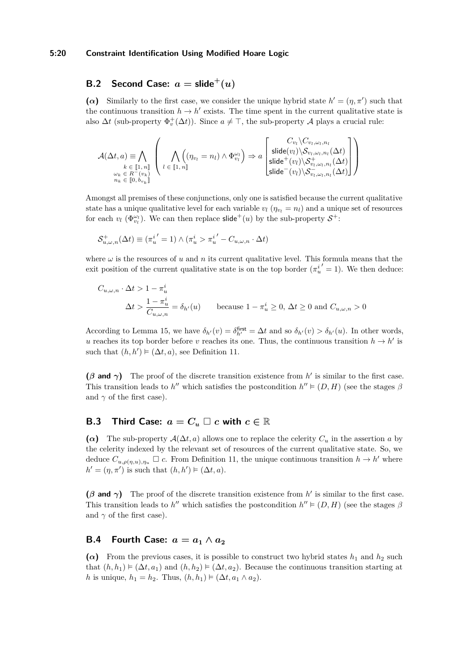### **5:20 Constraint Identification Using Modified Hoare Logic**

# **B.2** Second Case:  $a = \text{slide}^+(u)$

( $\alpha$ ) Similarly to the first case, we consider the unique hybrid state  $h' = (\eta, \pi')$  such that the continuous transition  $h \to h'$  exists. The time spent in the current qualitative state is also  $\Delta t$  (sub-property  $\Phi_v^+(\Delta t)$ ). Since  $a \neq \top$ , the sub-property A plays a crucial rule:

$$
\mathcal{A}(\Delta t, a) \equiv \bigwedge_{\substack{k \in [1, n] \\ \omega_k \in R^-(v_k)}} \left( \bigwedge_{l \in [1, n]} ((\eta_{v_l} = n_l) \wedge \Phi_{v_l}^{\omega_l}) \Rightarrow a \begin{bmatrix} C_{v_l} \setminus C_{v_l, \omega_l, n_l} \\ \text{slide}(v_l) \setminus S_{v_l, \omega_l, n_l}(\Delta t) \\ \text{slide}^+(v_l) \setminus S_{v_l, \omega_l, n_l}^+(\Delta t) \\ \text{slide}^-(v_l) \setminus S_{v_l, \omega_l, n_l}^-(\Delta t) \end{bmatrix} \right)
$$

Amongst all premises of these conjunctions, only one is satisfied because the current qualitative state has a unique qualitative level for each variable  $v_l$  ( $\eta_{v_l} = n_l$ ) and a unique set of resources for each  $v_l$  ( $\Phi_{v_l}^{\omega_l}$ ). We can then replace slide<sup>+</sup>(*u*) by the sub-property  $S^+$ :

$$
\mathcal{S}_{u,\omega,n}^+(\Delta t) \equiv (\pi_u^{i'} = 1) \wedge (\pi_u^{i} > \pi_u^{i'} - C_{u,\omega,n} \cdot \Delta t)
$$

where  $\omega$  is the resources of  $u$  and  $n$  its current qualitative level. This formula means that the exit position of the current qualitative state is on the top border  $(\pi_u^{i'} = 1)$ . We then deduce:

$$
C_{u,\omega,n} \cdot \Delta t > 1 - \pi_u^i
$$
  
\n
$$
\Delta t > \frac{1 - \pi_u^i}{C_{u,\omega,n}} = \delta_{h'}(u)
$$
 because  $1 - \pi_u^i \ge 0$ ,  $\Delta t \ge 0$  and  $C_{u,\omega,n} > 0$ 

According to Lemma [15,](#page-10-0) we have  $\delta_{h'}(v) = \delta_{h'}^{\text{first}} = \Delta t$  and so  $\delta_{h'}(v) > \delta_{h'}(u)$ . In other words, *u* reaches its top border before *v* reaches its one. Thus, the continuous transition  $h \to h'$  is such that  $(h, h') \models (\Delta t, a)$ , see Definition [11.](#page-7-3)

 $(\beta \text{ and } \gamma)$  The proof of the discrete transition existence from *h'* is similar to the first case. This transition leads to *h*<sup>"</sup> which satisfies the postcondition  $h'' \models (D, H)$  (see the stages  $\beta$ and  $\gamma$  of the first case).

# **B.3** Third Case:  $a = C_u \square c$  with  $c \in \mathbb{R}$

( $\alpha$ ) The sub-property  $\mathcal{A}(\Delta t, a)$  allows one to replace the celerity  $C_u$  in the assertion *a* by the celerity indexed by the relevant set of resources of the current qualitative state. So, we deduce  $C_{u,\rho(\eta,u),\eta_u} \square$  *c*. From Definition [11,](#page-7-3) the unique continuous transition  $h \to h'$  where  $h' = (\eta, \pi')$  is such that  $(h, h') \models (\Delta t, a)$ .

 $(\beta \text{ and } \gamma)$  The proof of the discrete transition existence from *h*' is similar to the first case. This transition leads to *h*<sup>n</sup> which satisfies the postcondition  $h'' \models (D, H)$  (see the stages  $\beta$ and  $\gamma$  of the first case).

# **B.4** Fourth Case:  $a = a_1 \wedge a_2$

 $(\alpha)$  From the previous cases, it is possible to construct two hybrid states  $h_1$  and  $h_2$  such that  $(h, h_1) \models (\Delta t, a_1)$  and  $(h, h_2) \models (\Delta t, a_2)$ . Because the continuous transition starting at *h* is unique,  $h_1 = h_2$ . Thus,  $(h, h_1) \models (\Delta t, a_1 \land a_2)$ .